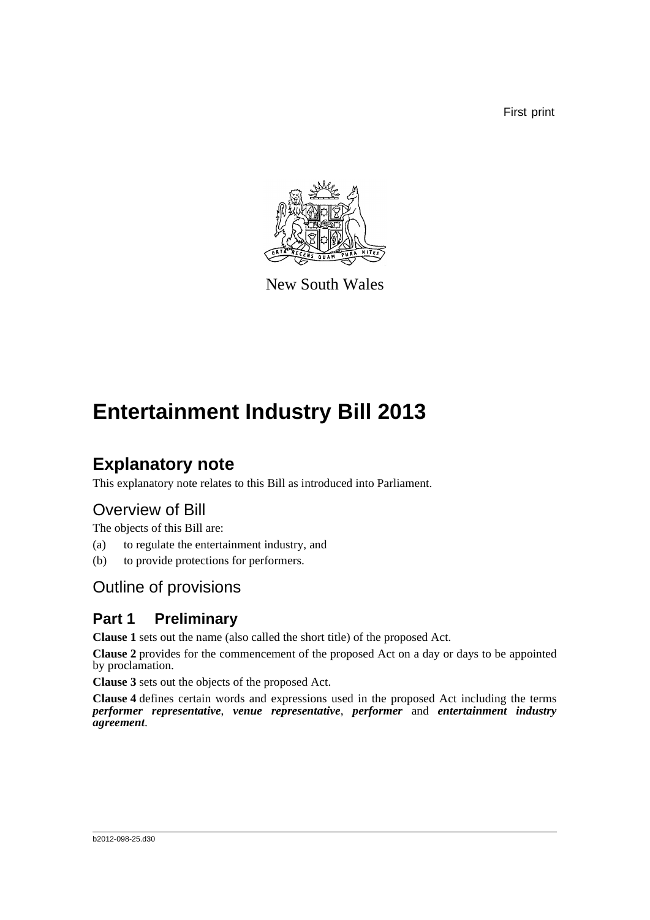First print



New South Wales

# **Entertainment Industry Bill 2013**

# **Explanatory note**

This explanatory note relates to this Bill as introduced into Parliament.

# Overview of Bill

The objects of this Bill are:

- (a) to regulate the entertainment industry, and
- (b) to provide protections for performers.

# Outline of provisions

## **Part 1 Preliminary**

**Clause 1** sets out the name (also called the short title) of the proposed Act.

**Clause 2** provides for the commencement of the proposed Act on a day or days to be appointed by proclamation.

**Clause 3** sets out the objects of the proposed Act.

**Clause 4** defines certain words and expressions used in the proposed Act including the terms *performer representative*, *venue representative*, *performer* and *entertainment industry agreement*.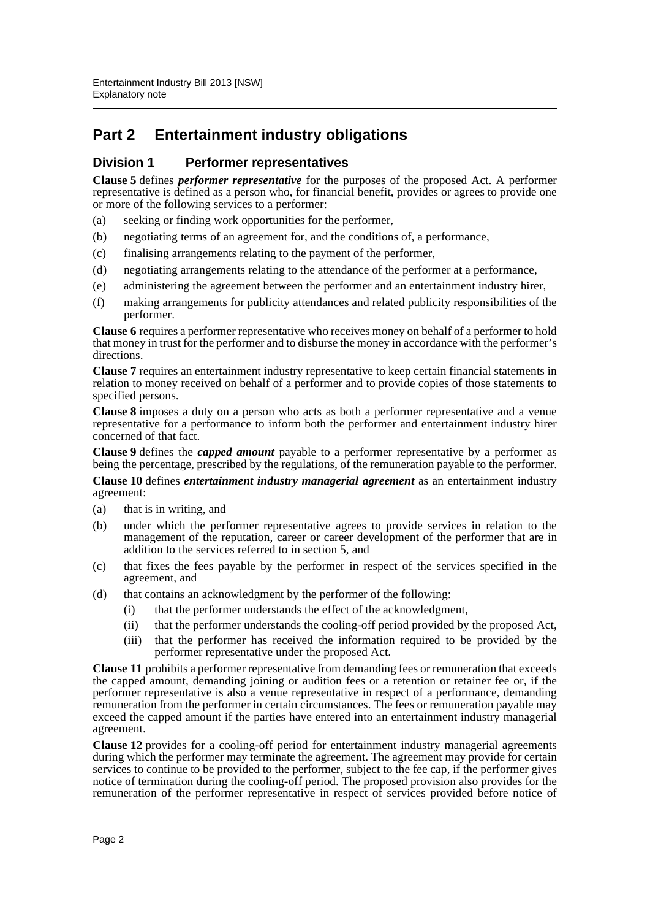## **Part 2 Entertainment industry obligations**

### **Division 1 Performer representatives**

**Clause 5** defines *performer representative* for the purposes of the proposed Act. A performer representative is defined as a person who, for financial benefit, provides or agrees to provide one or more of the following services to a performer:

- (a) seeking or finding work opportunities for the performer,
- (b) negotiating terms of an agreement for, and the conditions of, a performance,
- (c) finalising arrangements relating to the payment of the performer,
- (d) negotiating arrangements relating to the attendance of the performer at a performance,
- (e) administering the agreement between the performer and an entertainment industry hirer,
- (f) making arrangements for publicity attendances and related publicity responsibilities of the performer.

**Clause 6** requires a performer representative who receives money on behalf of a performer to hold that money in trust for the performer and to disburse the money in accordance with the performer's directions.

**Clause 7** requires an entertainment industry representative to keep certain financial statements in relation to money received on behalf of a performer and to provide copies of those statements to specified persons.

**Clause 8** imposes a duty on a person who acts as both a performer representative and a venue representative for a performance to inform both the performer and entertainment industry hirer concerned of that fact.

**Clause 9** defines the *capped amount* payable to a performer representative by a performer as being the percentage, prescribed by the regulations, of the remuneration payable to the performer.

**Clause 10** defines *entertainment industry managerial agreement* as an entertainment industry agreement:

- (a) that is in writing, and
- (b) under which the performer representative agrees to provide services in relation to the management of the reputation, career or career development of the performer that are in addition to the services referred to in section 5, and
- (c) that fixes the fees payable by the performer in respect of the services specified in the agreement, and
- (d) that contains an acknowledgment by the performer of the following:
	- (i) that the performer understands the effect of the acknowledgment,
	- (ii) that the performer understands the cooling-off period provided by the proposed Act,
	- (iii) that the performer has received the information required to be provided by the performer representative under the proposed Act.

**Clause 11** prohibits a performer representative from demanding fees or remuneration that exceeds the capped amount, demanding joining or audition fees or a retention or retainer fee or, if the performer representative is also a venue representative in respect of a performance, demanding remuneration from the performer in certain circumstances. The fees or remuneration payable may exceed the capped amount if the parties have entered into an entertainment industry managerial agreement.

**Clause 12** provides for a cooling-off period for entertainment industry managerial agreements during which the performer may terminate the agreement. The agreement may provide for certain services to continue to be provided to the performer, subject to the fee cap, if the performer gives notice of termination during the cooling-off period. The proposed provision also provides for the remuneration of the performer representative in respect of services provided before notice of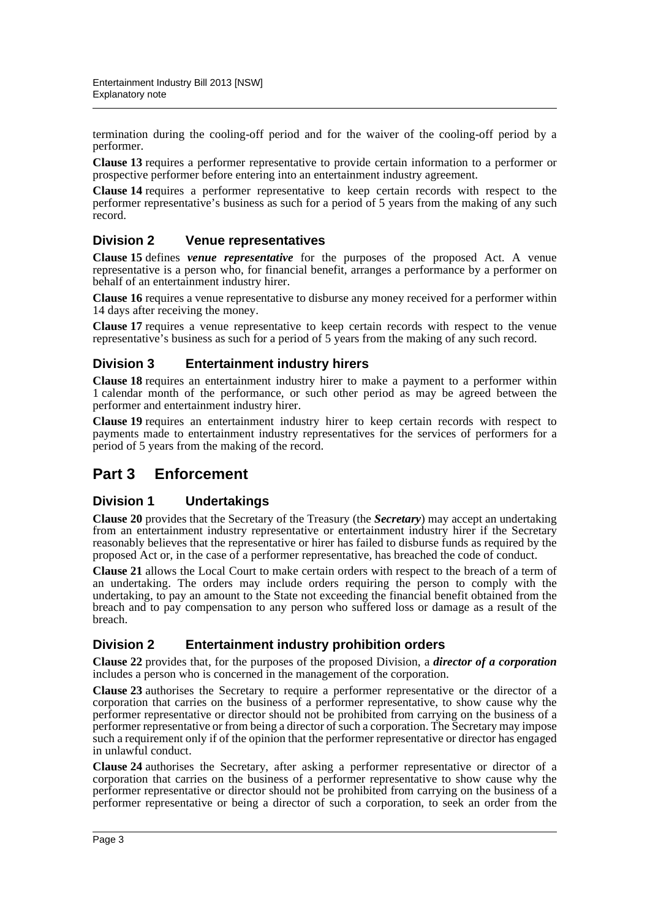termination during the cooling-off period and for the waiver of the cooling-off period by a performer.

**Clause 13** requires a performer representative to provide certain information to a performer or prospective performer before entering into an entertainment industry agreement.

**Clause 14** requires a performer representative to keep certain records with respect to the performer representative's business as such for a period of 5 years from the making of any such record.

## **Division 2 Venue representatives**

**Clause 15** defines *venue representative* for the purposes of the proposed Act. A venue representative is a person who, for financial benefit, arranges a performance by a performer on behalf of an entertainment industry hirer.

**Clause 16** requires a venue representative to disburse any money received for a performer within 14 days after receiving the money.

**Clause 17** requires a venue representative to keep certain records with respect to the venue representative's business as such for a period of 5 years from the making of any such record.

### **Division 3 Entertainment industry hirers**

**Clause 18** requires an entertainment industry hirer to make a payment to a performer within 1 calendar month of the performance, or such other period as may be agreed between the performer and entertainment industry hirer.

**Clause 19** requires an entertainment industry hirer to keep certain records with respect to payments made to entertainment industry representatives for the services of performers for a period of 5 years from the making of the record.

## **Part 3 Enforcement**

#### **Division 1 Undertakings**

**Clause 20** provides that the Secretary of the Treasury (the *Secretary*) may accept an undertaking from an entertainment industry representative or entertainment industry hirer if the Secretary reasonably believes that the representative or hirer has failed to disburse funds as required by the proposed Act or, in the case of a performer representative, has breached the code of conduct.

**Clause 21** allows the Local Court to make certain orders with respect to the breach of a term of an undertaking. The orders may include orders requiring the person to comply with the undertaking, to pay an amount to the State not exceeding the financial benefit obtained from the breach and to pay compensation to any person who suffered loss or damage as a result of the breach.

#### **Division 2 Entertainment industry prohibition orders**

**Clause 22** provides that, for the purposes of the proposed Division, a *director of a corporation* includes a person who is concerned in the management of the corporation.

**Clause 23** authorises the Secretary to require a performer representative or the director of a corporation that carries on the business of a performer representative, to show cause why the performer representative or director should not be prohibited from carrying on the business of a performer representative or from being a director of such a corporation. The Secretary may impose such a requirement only if of the opinion that the performer representative or director has engaged in unlawful conduct.

**Clause 24** authorises the Secretary, after asking a performer representative or director of a corporation that carries on the business of a performer representative to show cause why the performer representative or director should not be prohibited from carrying on the business of a performer representative or being a director of such a corporation, to seek an order from the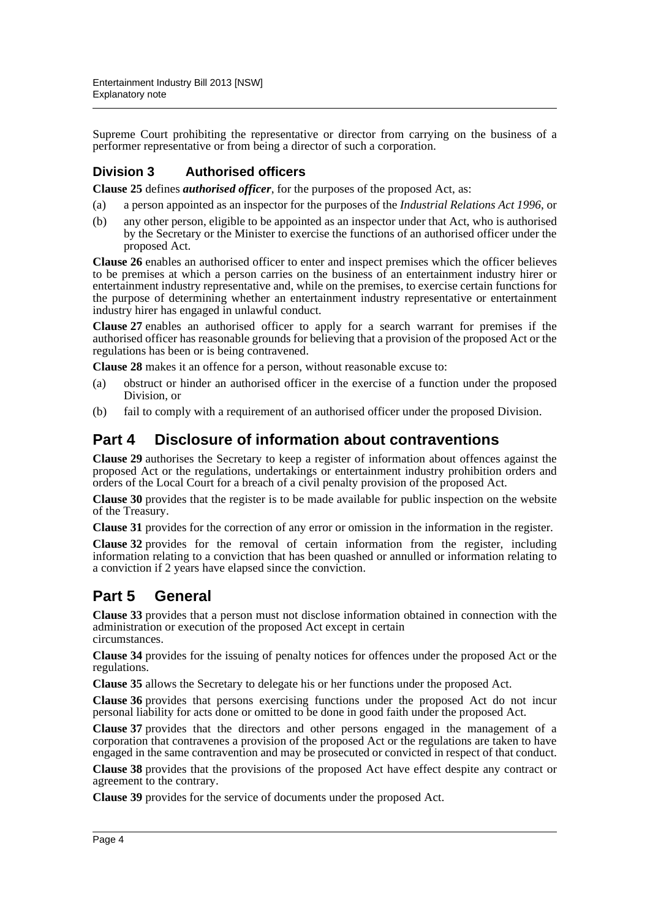Supreme Court prohibiting the representative or director from carrying on the business of a performer representative or from being a director of such a corporation.

### **Division 3 Authorised officers**

**Clause 25** defines *authorised officer*, for the purposes of the proposed Act, as:

- (a) a person appointed as an inspector for the purposes of the *Industrial Relations Act 1996*, or
- (b) any other person, eligible to be appointed as an inspector under that Act, who is authorised by the Secretary or the Minister to exercise the functions of an authorised officer under the proposed Act.

**Clause 26** enables an authorised officer to enter and inspect premises which the officer believes to be premises at which a person carries on the business of an entertainment industry hirer or entertainment industry representative and, while on the premises, to exercise certain functions for the purpose of determining whether an entertainment industry representative or entertainment industry hirer has engaged in unlawful conduct.

**Clause 27** enables an authorised officer to apply for a search warrant for premises if the authorised officer has reasonable grounds for believing that a provision of the proposed Act or the regulations has been or is being contravened.

**Clause 28** makes it an offence for a person, without reasonable excuse to:

- (a) obstruct or hinder an authorised officer in the exercise of a function under the proposed Division, or
- (b) fail to comply with a requirement of an authorised officer under the proposed Division.

## **Part 4 Disclosure of information about contraventions**

**Clause 29** authorises the Secretary to keep a register of information about offences against the proposed Act or the regulations, undertakings or entertainment industry prohibition orders and orders of the Local Court for a breach of a civil penalty provision of the proposed Act.

**Clause 30** provides that the register is to be made available for public inspection on the website of the Treasury.

**Clause 31** provides for the correction of any error or omission in the information in the register.

**Clause 32** provides for the removal of certain information from the register, including information relating to a conviction that has been quashed or annulled or information relating to a conviction if 2 years have elapsed since the conviction.

## **Part 5 General**

**Clause 33** provides that a person must not disclose information obtained in connection with the administration or execution of the proposed Act except in certain circumstances.

**Clause 34** provides for the issuing of penalty notices for offences under the proposed Act or the regulations.

**Clause 35** allows the Secretary to delegate his or her functions under the proposed Act.

**Clause 36** provides that persons exercising functions under the proposed Act do not incur personal liability for acts done or omitted to be done in good faith under the proposed Act.

**Clause 37** provides that the directors and other persons engaged in the management of a corporation that contravenes a provision of the proposed Act or the regulations are taken to have engaged in the same contravention and may be prosecuted or convicted in respect of that conduct.

**Clause 38** provides that the provisions of the proposed Act have effect despite any contract or agreement to the contrary.

**Clause 39** provides for the service of documents under the proposed Act.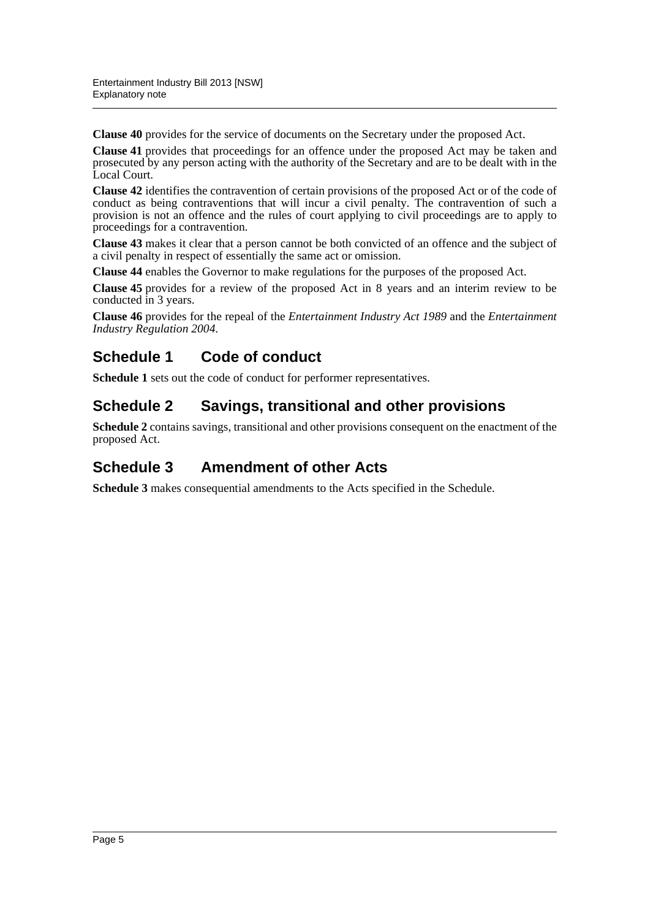**Clause 40** provides for the service of documents on the Secretary under the proposed Act.

**Clause 41** provides that proceedings for an offence under the proposed Act may be taken and prosecuted by any person acting with the authority of the Secretary and are to be dealt with in the Local Court.

**Clause 42** identifies the contravention of certain provisions of the proposed Act or of the code of conduct as being contraventions that will incur a civil penalty. The contravention of such a provision is not an offence and the rules of court applying to civil proceedings are to apply to proceedings for a contravention.

**Clause 43** makes it clear that a person cannot be both convicted of an offence and the subject of a civil penalty in respect of essentially the same act or omission.

**Clause 44** enables the Governor to make regulations for the purposes of the proposed Act.

**Clause 45** provides for a review of the proposed Act in 8 years and an interim review to be conducted in 3 years.

**Clause 46** provides for the repeal of the *Entertainment Industry Act 1989* and the *Entertainment Industry Regulation 2004*.

## **Schedule 1 Code of conduct**

**Schedule 1** sets out the code of conduct for performer representatives.

## **Schedule 2 Savings, transitional and other provisions**

**Schedule 2** contains savings, transitional and other provisions consequent on the enactment of the proposed Act.

## **Schedule 3 Amendment of other Acts**

**Schedule 3** makes consequential amendments to the Acts specified in the Schedule.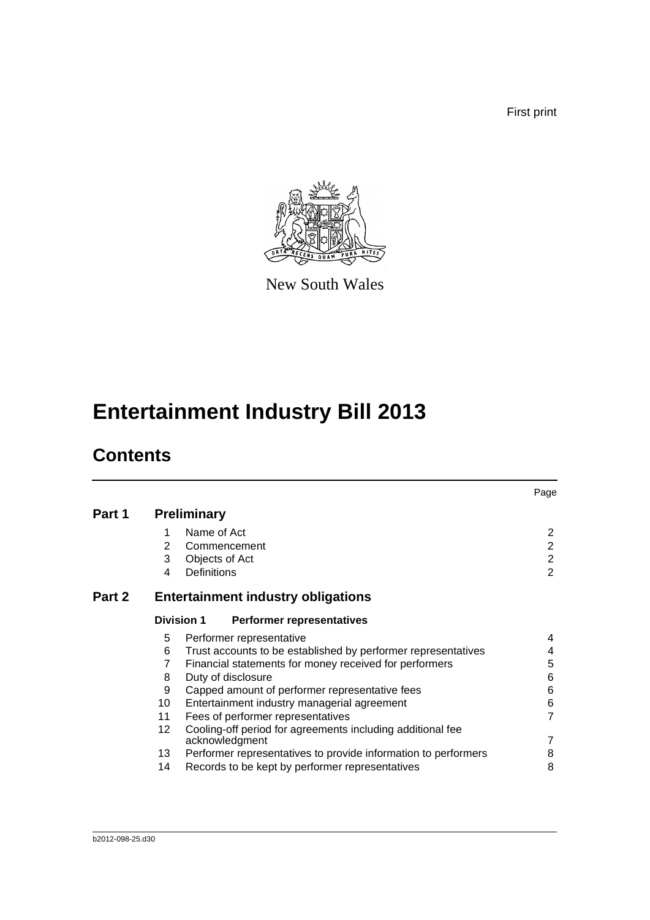First print



New South Wales

# **Entertainment Industry Bill 2013**

# **Contents**

|        |                |                                                                | Page           |
|--------|----------------|----------------------------------------------------------------|----------------|
| Part 1 |                | <b>Preliminary</b>                                             |                |
|        | 1.             | Name of Act                                                    | $\overline{2}$ |
|        | $\overline{2}$ | Commencement                                                   | $\overline{2}$ |
|        | 3              | Objects of Act                                                 | $\overline{2}$ |
|        | 4              | Definitions                                                    | $\overline{2}$ |
| Part 2 |                | <b>Entertainment industry obligations</b>                      |                |
|        |                | <b>Division 1</b><br><b>Performer representatives</b>          |                |
|        | 5              | Performer representative                                       | 4              |
|        | 6              | Trust accounts to be established by performer representatives  | 4              |
|        | 7              | Financial statements for money received for performers         | 5              |
|        | 8              | Duty of disclosure                                             | 6              |
|        | 9              | Capped amount of performer representative fees                 | 6              |
|        | 10             | Entertainment industry managerial agreement                    | 6              |
|        | 11             | Fees of performer representatives                              | $\overline{7}$ |
|        | 12             | Cooling-off period for agreements including additional fee     |                |
|        |                | acknowledgment                                                 | 7              |
|        | 13             | Performer representatives to provide information to performers | 8              |
|        | 14             | Records to be kept by performer representatives                | 8              |
|        |                |                                                                |                |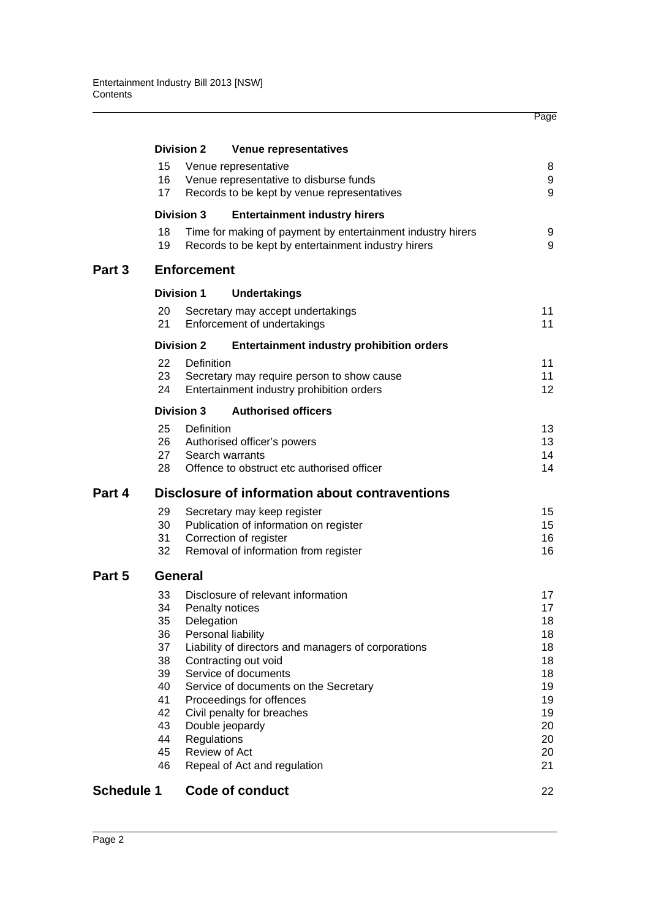|                   |                                                                                  |                           |                                                                                                                                                                                                                                                                                                                                                           | Page                                                                             |
|-------------------|----------------------------------------------------------------------------------|---------------------------|-----------------------------------------------------------------------------------------------------------------------------------------------------------------------------------------------------------------------------------------------------------------------------------------------------------------------------------------------------------|----------------------------------------------------------------------------------|
|                   |                                                                                  | <b>Division 2</b>         | <b>Venue representatives</b>                                                                                                                                                                                                                                                                                                                              |                                                                                  |
|                   | 15<br>16<br>17                                                                   |                           | Venue representative<br>Venue representative to disburse funds<br>Records to be kept by venue representatives                                                                                                                                                                                                                                             | 8<br>9<br>9                                                                      |
|                   |                                                                                  | <b>Division 3</b>         | <b>Entertainment industry hirers</b>                                                                                                                                                                                                                                                                                                                      |                                                                                  |
|                   | 18<br>19                                                                         |                           | Time for making of payment by entertainment industry hirers<br>Records to be kept by entertainment industry hirers                                                                                                                                                                                                                                        | 9<br>9                                                                           |
| Part 3            |                                                                                  | <b>Enforcement</b>        |                                                                                                                                                                                                                                                                                                                                                           |                                                                                  |
|                   |                                                                                  | <b>Division 1</b>         | <b>Undertakings</b>                                                                                                                                                                                                                                                                                                                                       |                                                                                  |
|                   | 20<br>21                                                                         |                           | Secretary may accept undertakings<br>Enforcement of undertakings                                                                                                                                                                                                                                                                                          | 11<br>11                                                                         |
|                   |                                                                                  | <b>Division 2</b>         | <b>Entertainment industry prohibition orders</b>                                                                                                                                                                                                                                                                                                          |                                                                                  |
|                   | 22<br>23<br>24                                                                   | Definition                | Secretary may require person to show cause<br>Entertainment industry prohibition orders                                                                                                                                                                                                                                                                   | 11<br>11<br>12 <sub>2</sub>                                                      |
|                   |                                                                                  | <b>Division 3</b>         | <b>Authorised officers</b>                                                                                                                                                                                                                                                                                                                                |                                                                                  |
|                   | 25<br>26<br>27<br>28                                                             | Definition                | Authorised officer's powers<br>Search warrants<br>Offence to obstruct etc authorised officer                                                                                                                                                                                                                                                              | 13<br>13<br>14<br>14                                                             |
| Part 4            |                                                                                  |                           | Disclosure of information about contraventions                                                                                                                                                                                                                                                                                                            |                                                                                  |
|                   | 29<br>30<br>31<br>32                                                             |                           | Secretary may keep register<br>Publication of information on register<br>Correction of register<br>Removal of information from register                                                                                                                                                                                                                   | 15<br>15<br>16<br>16                                                             |
| Part 5            |                                                                                  | General                   |                                                                                                                                                                                                                                                                                                                                                           |                                                                                  |
|                   | 33<br>34<br>35<br>36<br>37<br>38<br>39<br>40<br>41<br>42<br>43<br>44<br>45<br>46 | Delegation<br>Regulations | Disclosure of relevant information<br>Penalty notices<br>Personal liability<br>Liability of directors and managers of corporations<br>Contracting out void<br>Service of documents<br>Service of documents on the Secretary<br>Proceedings for offences<br>Civil penalty for breaches<br>Double jeopardy<br>Review of Act<br>Repeal of Act and regulation | 17<br>17<br>18<br>18<br>18<br>18<br>18<br>19<br>19<br>19<br>20<br>20<br>20<br>21 |
| <b>Schedule 1</b> |                                                                                  |                           | <b>Code of conduct</b>                                                                                                                                                                                                                                                                                                                                    | 22                                                                               |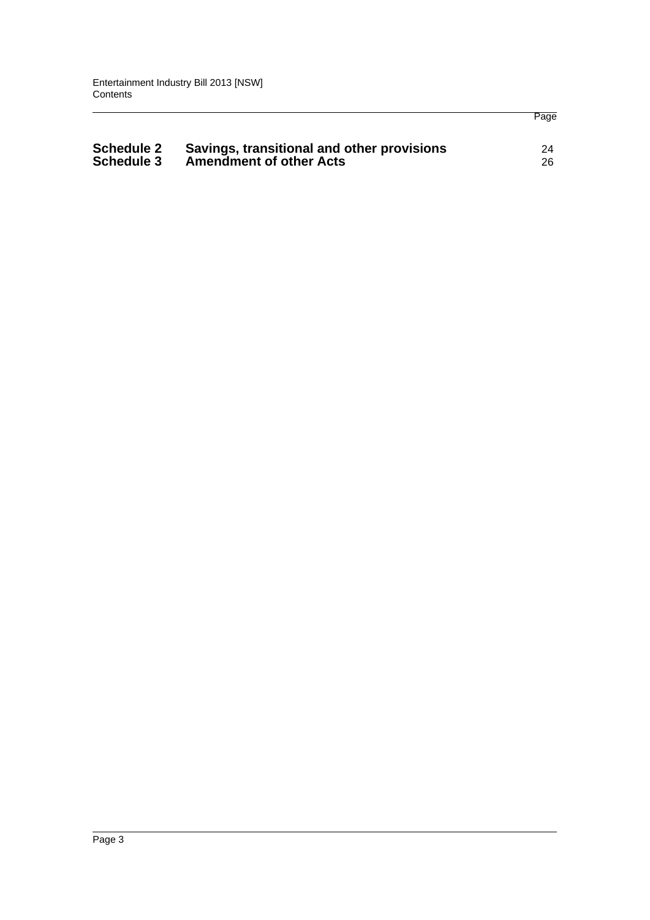| <b>Schedule 2</b> | Savings, transitional and other provisions | 24 |
|-------------------|--------------------------------------------|----|
| Schedule 3        | <b>Amendment of other Acts</b>             | 26 |

Page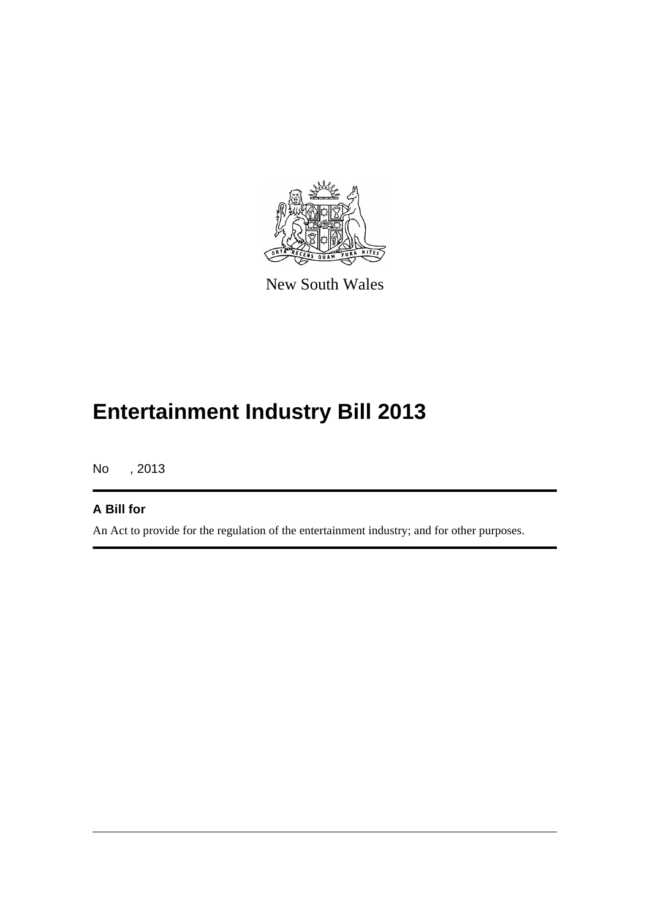

New South Wales

# **Entertainment Industry Bill 2013**

No , 2013

## **A Bill for**

An Act to provide for the regulation of the entertainment industry; and for other purposes.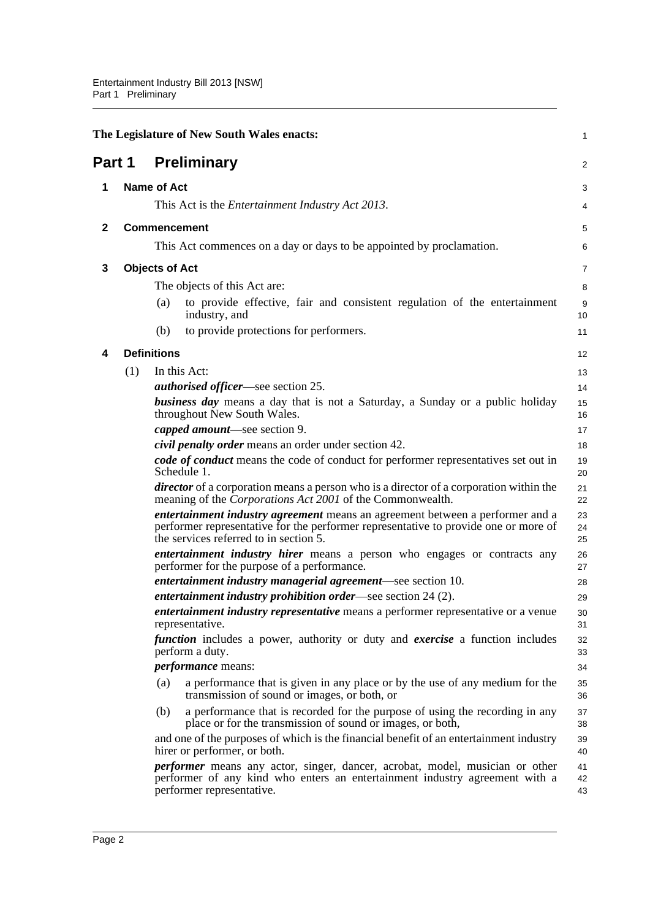<span id="page-9-4"></span><span id="page-9-3"></span><span id="page-9-2"></span><span id="page-9-1"></span><span id="page-9-0"></span>

|              |     | The Legislature of New South Wales enacts:                                                                                                                                                                            | 1              |
|--------------|-----|-----------------------------------------------------------------------------------------------------------------------------------------------------------------------------------------------------------------------|----------------|
| Part 1       |     | <b>Preliminary</b>                                                                                                                                                                                                    | $\overline{a}$ |
| 1            |     | <b>Name of Act</b>                                                                                                                                                                                                    | 3              |
|              |     | This Act is the <i>Entertainment Industry Act 2013</i> .                                                                                                                                                              | 4              |
| $\mathbf{2}$ |     | <b>Commencement</b>                                                                                                                                                                                                   | 5              |
|              |     | This Act commences on a day or days to be appointed by proclamation.                                                                                                                                                  | 6              |
| 3            |     | <b>Objects of Act</b>                                                                                                                                                                                                 | 7              |
|              |     | The objects of this Act are:                                                                                                                                                                                          | 8              |
|              |     | to provide effective, fair and consistent regulation of the entertainment<br>(a)<br>industry, and                                                                                                                     | 9<br>10        |
|              |     | to provide protections for performers.<br>(b)                                                                                                                                                                         | 11             |
| 4            |     | <b>Definitions</b>                                                                                                                                                                                                    | 12             |
|              | (1) | In this Act:                                                                                                                                                                                                          | 13             |
|              |     | <i>authorised officer</i> —see section 25.                                                                                                                                                                            | 14             |
|              |     | <b>business day</b> means a day that is not a Saturday, a Sunday or a public holiday<br>throughout New South Wales.                                                                                                   | 15<br>16       |
|              |     | <i>capped amount</i> —see section 9.                                                                                                                                                                                  | 17             |
|              |     | <i>civil penalty order</i> means an order under section 42.                                                                                                                                                           | 18             |
|              |     | code of conduct means the code of conduct for performer representatives set out in<br>Schedule 1.                                                                                                                     | 19<br>20       |
|              |     | <i>director</i> of a corporation means a person who is a director of a corporation within the<br>meaning of the <i>Corporations Act 2001</i> of the Commonwealth.                                                     | 21<br>22       |
|              |     | <i>entertainment industry agreement</i> means an agreement between a performer and a<br>performer representative for the performer representative to provide one or more of<br>the services referred to in section 5. | 23<br>24<br>25 |
|              |     | entertainment industry hirer means a person who engages or contracts any<br>performer for the purpose of a performance.                                                                                               | 26<br>27       |
|              |     | entertainment industry managerial agreement—see section 10.                                                                                                                                                           | 28             |
|              |     | <i>entertainment industry prohibition order</i> —see section 24 (2).                                                                                                                                                  | 29             |
|              |     | <i>entertainment industry representative</i> means a performer representative or a venue<br>representative.                                                                                                           | 30<br>31       |
|              |     | <i>function</i> includes a power, authority or duty and <i>exercise</i> a function includes<br>perform a duty.                                                                                                        | 32<br>33       |
|              |     | <i>performance</i> means:                                                                                                                                                                                             | 34             |
|              |     | (a)<br>a performance that is given in any place or by the use of any medium for the<br>transmission of sound or images, or both, or                                                                                   | 35<br>36       |
|              |     | a performance that is recorded for the purpose of using the recording in any<br>(b)<br>place or for the transmission of sound or images, or both,                                                                     | 37<br>38       |
|              |     | and one of the purposes of which is the financial benefit of an entertainment industry<br>hirer or performer, or both.                                                                                                | 39<br>40       |
|              |     | <i>performer</i> means any actor, singer, dancer, acrobat, model, musician or other<br>performer of any kind who enters an entertainment industry agreement with a<br>performer representative.                       | 41<br>42<br>43 |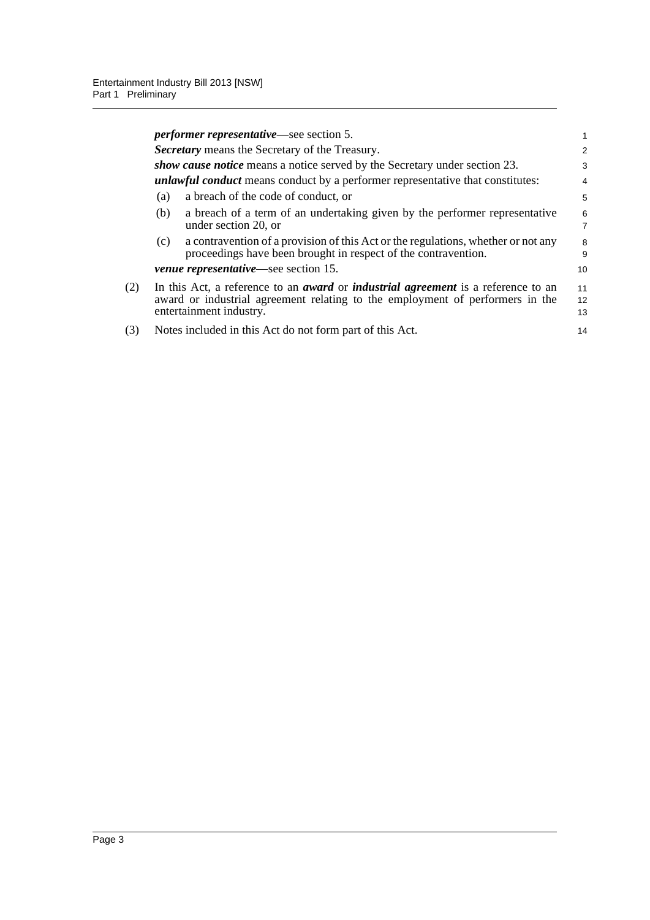|     |                                                                                                                                                                                                             | <i>performer representative</i> —see section 5.                                                                                                     | 1                   |
|-----|-------------------------------------------------------------------------------------------------------------------------------------------------------------------------------------------------------------|-----------------------------------------------------------------------------------------------------------------------------------------------------|---------------------|
|     |                                                                                                                                                                                                             | Secretary means the Secretary of the Treasury.                                                                                                      | 2                   |
|     |                                                                                                                                                                                                             | <i>show cause notice</i> means a notice served by the Secretary under section 23.                                                                   | 3                   |
|     |                                                                                                                                                                                                             | <i>unlawful conduct</i> means conduct by a performer representative that constitutes:                                                               | $\overline{4}$      |
|     | (a)                                                                                                                                                                                                         | a breach of the code of conduct, or                                                                                                                 | 5                   |
|     | (b)                                                                                                                                                                                                         | a breach of a term of an undertaking given by the performer representative<br>under section 20, or                                                  | 6<br>$\overline{7}$ |
|     | (c)                                                                                                                                                                                                         | a contravention of a provision of this Act or the regulations, whether or not any<br>proceedings have been brought in respect of the contravention. | 8<br>9              |
|     |                                                                                                                                                                                                             | <i>venue representative</i> —see section 15.                                                                                                        | 10                  |
| (2) | In this Act, a reference to an <i>award</i> or <i>industrial agreement</i> is a reference to an<br>award or industrial agreement relating to the employment of performers in the<br>entertainment industry. |                                                                                                                                                     | 11<br>12<br>13      |
| (3) |                                                                                                                                                                                                             | Notes included in this Act do not form part of this Act.                                                                                            | 14                  |
|     |                                                                                                                                                                                                             |                                                                                                                                                     |                     |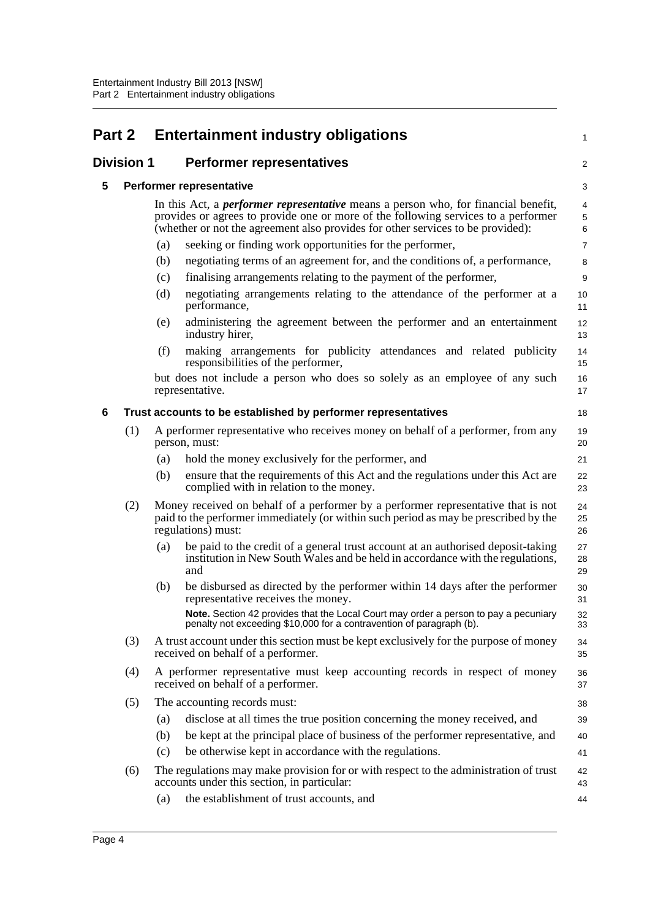<span id="page-11-3"></span><span id="page-11-2"></span><span id="page-11-1"></span><span id="page-11-0"></span>

|   |                   |     | <b>Part 2</b> Entertainment industry obligations                                                                                                                                                                                                                   | 1                        |
|---|-------------------|-----|--------------------------------------------------------------------------------------------------------------------------------------------------------------------------------------------------------------------------------------------------------------------|--------------------------|
|   | <b>Division 1</b> |     | <b>Performer representatives</b>                                                                                                                                                                                                                                   | $\overline{2}$           |
| 5 |                   |     | Performer representative                                                                                                                                                                                                                                           | 3                        |
|   |                   |     | In this Act, a <i>performer representative</i> means a person who, for financial benefit,<br>provides or agrees to provide one or more of the following services to a performer<br>(whether or not the agreement also provides for other services to be provided): | $\overline{4}$<br>5<br>6 |
|   |                   | (a) | seeking or finding work opportunities for the performer,                                                                                                                                                                                                           | $\overline{7}$           |
|   |                   | (b) | negotiating terms of an agreement for, and the conditions of, a performance,                                                                                                                                                                                       | 8                        |
|   |                   | (c) | finalising arrangements relating to the payment of the performer,                                                                                                                                                                                                  | 9                        |
|   |                   | (d) | negotiating arrangements relating to the attendance of the performer at a<br>performance,                                                                                                                                                                          | 10<br>11                 |
|   |                   | (e) | administering the agreement between the performer and an entertainment<br>industry hirer,                                                                                                                                                                          | 12<br>13                 |
|   |                   | (f) | making arrangements for publicity attendances and related publicity<br>responsibilities of the performer,                                                                                                                                                          | 14<br>15                 |
|   |                   |     | but does not include a person who does so solely as an employee of any such<br>representative.                                                                                                                                                                     | 16<br>17                 |
| 6 |                   |     | Trust accounts to be established by performer representatives                                                                                                                                                                                                      | 18                       |
|   | (1)               |     | A performer representative who receives money on behalf of a performer, from any<br>person, must:                                                                                                                                                                  | 19<br>20                 |
|   |                   | (a) | hold the money exclusively for the performer, and                                                                                                                                                                                                                  | 21                       |
|   |                   | (b) | ensure that the requirements of this Act and the regulations under this Act are<br>complied with in relation to the money.                                                                                                                                         | 22<br>23                 |
|   | (2)               |     | Money received on behalf of a performer by a performer representative that is not<br>paid to the performer immediately (or within such period as may be prescribed by the<br>regulations) must:                                                                    | 24<br>25<br>26           |
|   |                   | (a) | be paid to the credit of a general trust account at an authorised deposit-taking<br>institution in New South Wales and be held in accordance with the regulations,<br>and                                                                                          | 27<br>28<br>29           |
|   |                   | (b) | be disbursed as directed by the performer within 14 days after the performer<br>representative receives the money.                                                                                                                                                 | 30<br>31                 |
|   |                   |     | Note. Section 42 provides that the Local Court may order a person to pay a pecuniary<br>penalty not exceeding \$10,000 for a contravention of paragraph (b).                                                                                                       | 32<br>33                 |
|   | (3)               |     | A trust account under this section must be kept exclusively for the purpose of money<br>received on behalf of a performer.                                                                                                                                         | 34<br>35                 |
|   | (4)               |     | A performer representative must keep accounting records in respect of money<br>received on behalf of a performer.                                                                                                                                                  | 36<br>37                 |
|   | (5)               |     | The accounting records must:                                                                                                                                                                                                                                       | 38                       |
|   |                   | (a) | disclose at all times the true position concerning the money received, and                                                                                                                                                                                         | 39                       |
|   |                   | (b) | be kept at the principal place of business of the performer representative, and                                                                                                                                                                                    | 40                       |
|   |                   | (c) | be otherwise kept in accordance with the regulations.                                                                                                                                                                                                              | 41                       |
|   | (6)               |     | The regulations may make provision for or with respect to the administration of trust<br>accounts under this section, in particular:                                                                                                                               | 42<br>43                 |
|   |                   | (a) | the establishment of trust accounts, and                                                                                                                                                                                                                           | 44                       |
|   |                   |     |                                                                                                                                                                                                                                                                    |                          |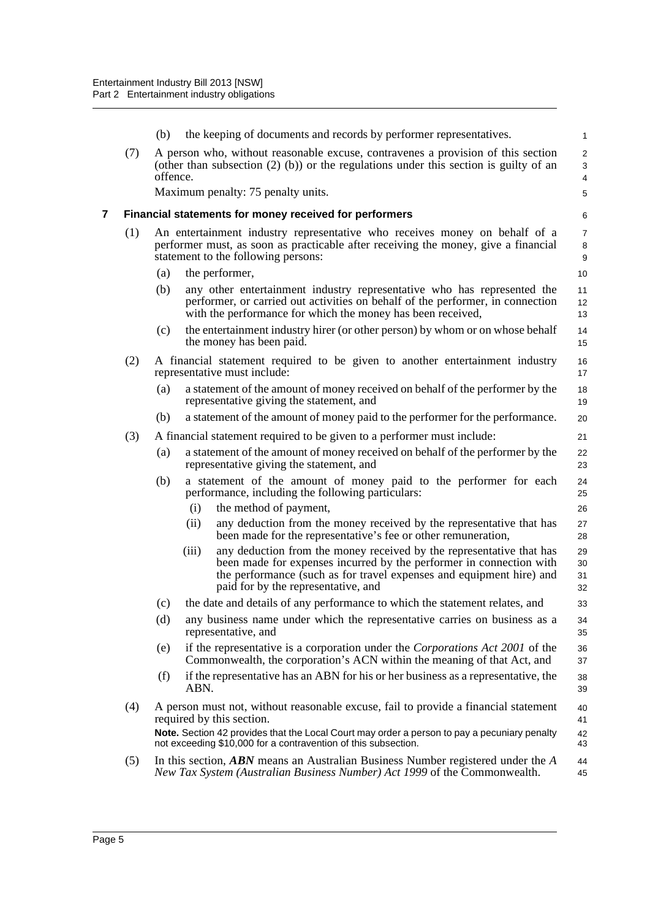<span id="page-12-0"></span>

|   |     | (b)      |       | the keeping of documents and records by performer representatives.                                                                                                                                                                                         | 1                                              |
|---|-----|----------|-------|------------------------------------------------------------------------------------------------------------------------------------------------------------------------------------------------------------------------------------------------------------|------------------------------------------------|
|   | (7) | offence. |       | A person who, without reasonable excuse, contravenes a provision of this section<br>(other than subsection $(2)$ (b)) or the regulations under this section is guilty of an                                                                                | $\overline{2}$<br>3<br>$\overline{\mathbf{4}}$ |
|   |     |          |       | Maximum penalty: 75 penalty units.                                                                                                                                                                                                                         | 5                                              |
| 7 |     |          |       | Financial statements for money received for performers                                                                                                                                                                                                     | 6                                              |
|   | (1) |          |       | An entertainment industry representative who receives money on behalf of a<br>performer must, as soon as practicable after receiving the money, give a financial<br>statement to the following persons:                                                    | $\overline{7}$<br>$\,$ 8 $\,$<br>9             |
|   |     | (a)      |       | the performer,                                                                                                                                                                                                                                             | 10                                             |
|   |     | (b)      |       | any other entertainment industry representative who has represented the<br>performer, or carried out activities on behalf of the performer, in connection<br>with the performance for which the money has been received,                                   | 11<br>12<br>13                                 |
|   |     | (c)      |       | the entertainment industry hirer (or other person) by whom or on whose behalf<br>the money has been paid.                                                                                                                                                  | 14<br>15                                       |
|   | (2) |          |       | A financial statement required to be given to another entertainment industry<br>representative must include:                                                                                                                                               | 16<br>17                                       |
|   |     | (a)      |       | a statement of the amount of money received on behalf of the performer by the<br>representative giving the statement, and                                                                                                                                  | 18<br>19                                       |
|   |     | (b)      |       | a statement of the amount of money paid to the performer for the performance.                                                                                                                                                                              | 20                                             |
|   | (3) |          |       | A financial statement required to be given to a performer must include:                                                                                                                                                                                    | 21                                             |
|   |     | (a)      |       | a statement of the amount of money received on behalf of the performer by the<br>representative giving the statement, and                                                                                                                                  | 22<br>23                                       |
|   |     | (b)      |       | a statement of the amount of money paid to the performer for each<br>performance, including the following particulars:                                                                                                                                     | 24<br>25                                       |
|   |     |          | (i)   | the method of payment,                                                                                                                                                                                                                                     | 26                                             |
|   |     |          | (ii)  | any deduction from the money received by the representative that has<br>been made for the representative's fee or other remuneration,                                                                                                                      | 27<br>28                                       |
|   |     |          | (iii) | any deduction from the money received by the representative that has<br>been made for expenses incurred by the performer in connection with<br>the performance (such as for travel expenses and equipment hire) and<br>paid for by the representative, and | 29<br>30<br>31<br>32                           |
|   |     | (c)      |       | the date and details of any performance to which the statement relates, and                                                                                                                                                                                | 33                                             |
|   |     | (d)      |       | any business name under which the representative carries on business as a<br>representative, and                                                                                                                                                           | 34<br>35                                       |
|   |     | (e)      |       | if the representative is a corporation under the <i>Corporations Act 2001</i> of the<br>Commonwealth, the corporation's ACN within the meaning of that Act, and                                                                                            | 36<br>37                                       |
|   |     | (f)      | ABN.  | if the representative has an ABN for his or her business as a representative, the                                                                                                                                                                          | 38<br>39                                       |
|   | (4) |          |       | A person must not, without reasonable excuse, fail to provide a financial statement<br>required by this section.                                                                                                                                           | 40<br>41                                       |
|   |     |          |       | Note. Section 42 provides that the Local Court may order a person to pay a pecuniary penalty<br>not exceeding \$10,000 for a contravention of this subsection.                                                                                             | 42<br>43                                       |
|   | (5) |          |       | In this section, ABN means an Australian Business Number registered under the A<br>New Tax System (Australian Business Number) Act 1999 of the Commonwealth.                                                                                               | 44<br>45                                       |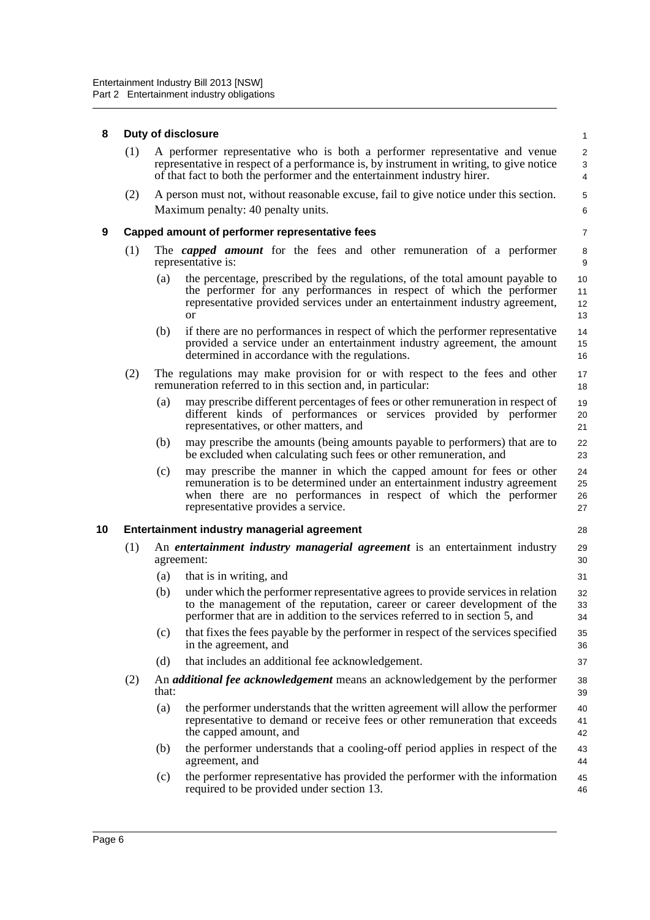#### **8 Duty of disclosure**

<span id="page-13-1"></span><span id="page-13-0"></span>

| 8  |     | Duty of disclosure |                                                                                                                                                                                                                                                               |                                                |  |  |  |  |  |
|----|-----|--------------------|---------------------------------------------------------------------------------------------------------------------------------------------------------------------------------------------------------------------------------------------------------------|------------------------------------------------|--|--|--|--|--|
|    | (1) |                    | A performer representative who is both a performer representative and venue<br>representative in respect of a performance is, by instrument in writing, to give notice<br>of that fact to both the performer and the entertainment industry hirer.            | $\overline{c}$<br>$\sqrt{3}$<br>$\overline{4}$ |  |  |  |  |  |
|    | (2) |                    | A person must not, without reasonable excuse, fail to give notice under this section.                                                                                                                                                                         | $\sqrt{5}$                                     |  |  |  |  |  |
|    |     |                    | Maximum penalty: 40 penalty units.                                                                                                                                                                                                                            | 6                                              |  |  |  |  |  |
| 9  |     |                    | Capped amount of performer representative fees                                                                                                                                                                                                                | 7                                              |  |  |  |  |  |
|    | (1) |                    | The <i>capped amount</i> for the fees and other remuneration of a performer<br>representative is:                                                                                                                                                             | 8<br>9                                         |  |  |  |  |  |
|    |     | (a)                | the percentage, prescribed by the regulations, of the total amount payable to<br>the performer for any performances in respect of which the performer<br>representative provided services under an entertainment industry agreement,<br><sub>or</sub>         | 10<br>11<br>12<br>13                           |  |  |  |  |  |
|    |     | (b)                | if there are no performances in respect of which the performer representative<br>provided a service under an entertainment industry agreement, the amount<br>determined in accordance with the regulations.                                                   | 14<br>15<br>16                                 |  |  |  |  |  |
|    | (2) |                    | The regulations may make provision for or with respect to the fees and other<br>remuneration referred to in this section and, in particular:                                                                                                                  | 17<br>18                                       |  |  |  |  |  |
|    |     | (a)                | may prescribe different percentages of fees or other remuneration in respect of<br>different kinds of performances or services provided by performer<br>representatives, or other matters, and                                                                | 19<br>20<br>21                                 |  |  |  |  |  |
|    |     | (b)                | may prescribe the amounts (being amounts payable to performers) that are to<br>be excluded when calculating such fees or other remuneration, and                                                                                                              | 22<br>23                                       |  |  |  |  |  |
|    |     | (c)                | may prescribe the manner in which the capped amount for fees or other<br>remuneration is to be determined under an entertainment industry agreement<br>when there are no performances in respect of which the performer<br>representative provides a service. | 24<br>25<br>26<br>27                           |  |  |  |  |  |
| 10 |     |                    | Entertainment industry managerial agreement                                                                                                                                                                                                                   | 28                                             |  |  |  |  |  |
|    | (1) | agreement:         | An <i>entertainment industry managerial agreement</i> is an entertainment industry                                                                                                                                                                            | 29<br>30                                       |  |  |  |  |  |
|    |     | (a)                | that is in writing, and                                                                                                                                                                                                                                       | 31                                             |  |  |  |  |  |
|    |     | (b)                | under which the performer representative agrees to provide services in relation<br>to the management of the reputation, career or career development of the<br>performer that are in addition to the services referred to in section 5, and                   | 32<br>33<br>34                                 |  |  |  |  |  |
|    |     | (c)                | that fixes the fees payable by the performer in respect of the services specified<br>in the agreement, and                                                                                                                                                    | 35<br>36                                       |  |  |  |  |  |
|    |     | (d)                | that includes an additional fee acknowledgement.                                                                                                                                                                                                              | 37                                             |  |  |  |  |  |
|    | (2) | that:              | An <i>additional fee acknowledgement</i> means an acknowledgement by the performer                                                                                                                                                                            | 38<br>39                                       |  |  |  |  |  |
|    |     | (a)                | the performer understands that the written agreement will allow the performer<br>representative to demand or receive fees or other remuneration that exceeds<br>the capped amount, and                                                                        | 40<br>41<br>42                                 |  |  |  |  |  |
|    |     | (b)                | the performer understands that a cooling-off period applies in respect of the<br>agreement, and                                                                                                                                                               | 43<br>44                                       |  |  |  |  |  |
|    |     |                    |                                                                                                                                                                                                                                                               |                                                |  |  |  |  |  |

<span id="page-13-2"></span>(c) the performer representative has provided the performer with the information required to be provided under section 13. 45 46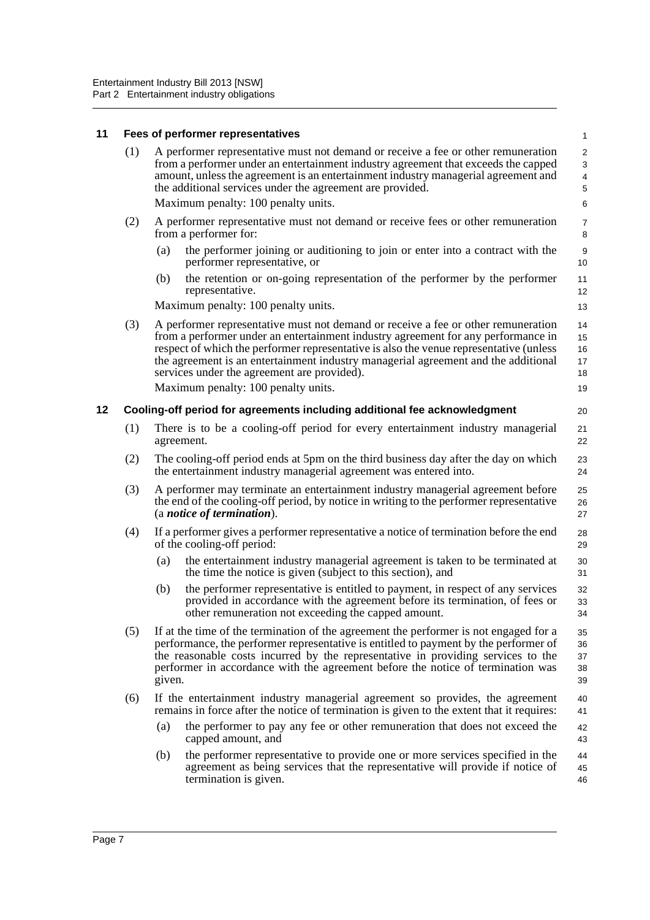### <span id="page-14-0"></span>**11 Fees of performer representatives**

<span id="page-14-1"></span>

|    | (1) | A performer representative must not demand or receive a fee or other remuneration<br>from a performer under an entertainment industry agreement that exceeds the capped<br>amount, unless the agreement is an entertainment industry managerial agreement and<br>the additional services under the agreement are provided.<br>Maximum penalty: 100 penalty units.                                                                            | 2<br>$\sqrt{3}$<br>$\pmb{4}$<br>5<br>6 |
|----|-----|----------------------------------------------------------------------------------------------------------------------------------------------------------------------------------------------------------------------------------------------------------------------------------------------------------------------------------------------------------------------------------------------------------------------------------------------|----------------------------------------|
|    | (2) | A performer representative must not demand or receive fees or other remuneration<br>from a performer for:                                                                                                                                                                                                                                                                                                                                    | $\overline{7}$<br>8                    |
|    |     | the performer joining or auditioning to join or enter into a contract with the<br>(a)<br>performer representative, or                                                                                                                                                                                                                                                                                                                        | 9<br>10                                |
|    |     | the retention or on-going representation of the performer by the performer<br>(b)<br>representative.                                                                                                                                                                                                                                                                                                                                         | 11<br>12                               |
|    |     | Maximum penalty: 100 penalty units.                                                                                                                                                                                                                                                                                                                                                                                                          | 13                                     |
|    | (3) | A performer representative must not demand or receive a fee or other remuneration<br>from a performer under an entertainment industry agreement for any performance in<br>respect of which the performer representative is also the venue representative (unless<br>the agreement is an entertainment industry managerial agreement and the additional<br>services under the agreement are provided).<br>Maximum penalty: 100 penalty units. | 14<br>15<br>16<br>17<br>18<br>19       |
| 12 |     | Cooling-off period for agreements including additional fee acknowledgment                                                                                                                                                                                                                                                                                                                                                                    | 20                                     |
|    | (1) | There is to be a cooling-off period for every entertainment industry managerial<br>agreement.                                                                                                                                                                                                                                                                                                                                                | 21<br>22                               |
|    | (2) | The cooling-off period ends at 5pm on the third business day after the day on which<br>the entertainment industry managerial agreement was entered into.                                                                                                                                                                                                                                                                                     | 23<br>24                               |
|    | (3) | A performer may terminate an entertainment industry managerial agreement before<br>the end of the cooling-off period, by notice in writing to the performer representative<br>(a notice of termination).                                                                                                                                                                                                                                     | 25<br>26<br>27                         |
|    | (4) | If a performer gives a performer representative a notice of termination before the end<br>of the cooling-off period:                                                                                                                                                                                                                                                                                                                         | 28<br>29                               |
|    |     | the entertainment industry managerial agreement is taken to be terminated at<br>(a)<br>the time the notice is given (subject to this section), and                                                                                                                                                                                                                                                                                           | 30<br>31                               |
|    |     | the performer representative is entitled to payment, in respect of any services<br>(b)<br>provided in accordance with the agreement before its termination, of fees or<br>other remuneration not exceeding the capped amount.                                                                                                                                                                                                                | 32<br>33<br>34                         |
|    | (5) | If at the time of the termination of the agreement the performer is not engaged for a<br>performance, the performer representative is entitled to payment by the performer of<br>the reasonable costs incurred by the representative in providing services to the<br>performer in accordance with the agreement before the notice of termination was<br>given.                                                                               | 35<br>36<br>37<br>38<br>39             |
|    | (6) | If the entertainment industry managerial agreement so provides, the agreement<br>remains in force after the notice of termination is given to the extent that it requires:                                                                                                                                                                                                                                                                   | 40<br>41                               |
|    |     | the performer to pay any fee or other remuneration that does not exceed the<br>(a)<br>capped amount, and                                                                                                                                                                                                                                                                                                                                     | 42<br>43                               |
|    |     | the performer representative to provide one or more services specified in the<br>(b)<br>agreement as being services that the representative will provide if notice of<br>termination is given.                                                                                                                                                                                                                                               | 44<br>45<br>46                         |
|    |     |                                                                                                                                                                                                                                                                                                                                                                                                                                              |                                        |

1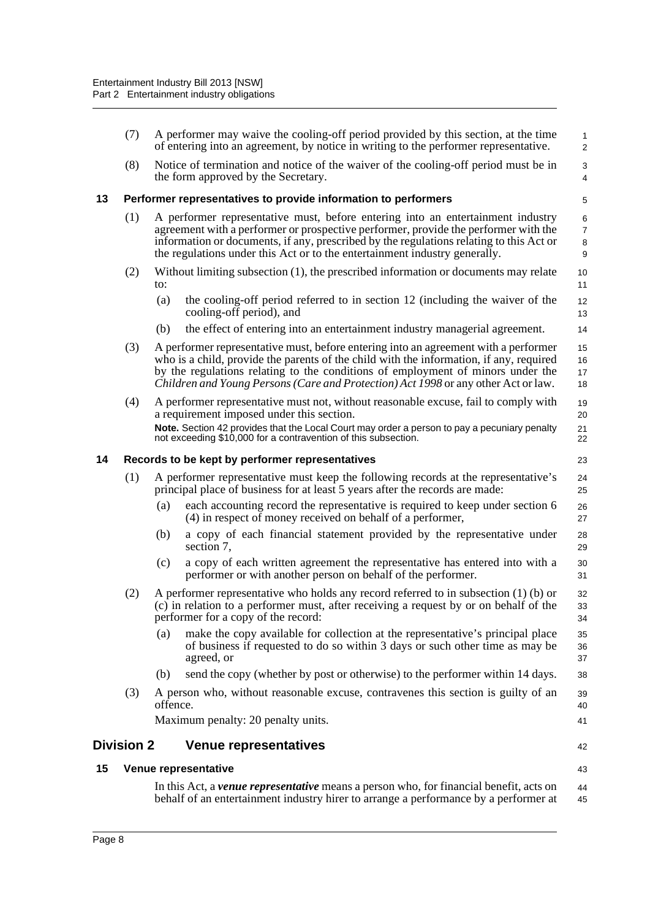<span id="page-15-3"></span><span id="page-15-2"></span><span id="page-15-1"></span><span id="page-15-0"></span>

|    | (7)               |          | A performer may waive the cooling-off period provided by this section, at the time<br>of entering into an agreement, by notice in writing to the performer representative.                                                                                                                                                                              | 1<br>$\overline{\mathbf{c}}$ |
|----|-------------------|----------|---------------------------------------------------------------------------------------------------------------------------------------------------------------------------------------------------------------------------------------------------------------------------------------------------------------------------------------------------------|------------------------------|
|    | (8)               |          | Notice of termination and notice of the waiver of the cooling-off period must be in<br>the form approved by the Secretary.                                                                                                                                                                                                                              | 3<br>4                       |
| 13 |                   |          | Performer representatives to provide information to performers                                                                                                                                                                                                                                                                                          | 5                            |
|    | (1)               |          | A performer representative must, before entering into an entertainment industry<br>agreement with a performer or prospective performer, provide the performer with the<br>information or documents, if any, prescribed by the regulations relating to this Act or<br>the regulations under this Act or to the entertainment industry generally.         | 6<br>7<br>8<br>9             |
|    | (2)               | to:      | Without limiting subsection (1), the prescribed information or documents may relate                                                                                                                                                                                                                                                                     | 10<br>11                     |
|    |                   | (a)      | the cooling-off period referred to in section 12 (including the waiver of the<br>cooling-off period), and                                                                                                                                                                                                                                               | 12<br>13                     |
|    |                   | (b)      | the effect of entering into an entertainment industry managerial agreement.                                                                                                                                                                                                                                                                             | 14                           |
|    | (3)               |          | A performer representative must, before entering into an agreement with a performer<br>who is a child, provide the parents of the child with the information, if any, required<br>by the regulations relating to the conditions of employment of minors under the<br>Children and Young Persons (Care and Protection) Act 1998 or any other Act or law. | 15<br>16<br>17<br>18         |
|    | (4)               |          | A performer representative must not, without reasonable excuse, fail to comply with<br>a requirement imposed under this section.                                                                                                                                                                                                                        | 19<br>20                     |
|    |                   |          | Note. Section 42 provides that the Local Court may order a person to pay a pecuniary penalty<br>not exceeding \$10,000 for a contravention of this subsection.                                                                                                                                                                                          | 21<br>22                     |
| 14 |                   |          | Records to be kept by performer representatives                                                                                                                                                                                                                                                                                                         | 23                           |
|    | (1)               |          | A performer representative must keep the following records at the representative's<br>principal place of business for at least 5 years after the records are made:                                                                                                                                                                                      | 24<br>25                     |
|    |                   | (a)      | each accounting record the representative is required to keep under section 6<br>(4) in respect of money received on behalf of a performer,                                                                                                                                                                                                             | 26<br>27                     |
|    |                   | (b)      | a copy of each financial statement provided by the representative under<br>section 7,                                                                                                                                                                                                                                                                   | 28<br>29                     |
|    |                   | (c)      | a copy of each written agreement the representative has entered into with a<br>performer or with another person on behalf of the performer.                                                                                                                                                                                                             | 30<br>31                     |
|    | (2)               |          | A performer representative who holds any record referred to in subsection (1) (b) or<br>(c) in relation to a performer must, after receiving a request by or on behalf of the<br>performer for a copy of the record:                                                                                                                                    | 32<br>33<br>34               |
|    |                   | (a)      | make the copy available for collection at the representative's principal place<br>of business if requested to do so within 3 days or such other time as may be<br>agreed, or                                                                                                                                                                            | 35<br>36<br>37               |
|    |                   | (b)      | send the copy (whether by post or otherwise) to the performer within 14 days.                                                                                                                                                                                                                                                                           | 38                           |
|    | (3)               | offence. | A person who, without reasonable excuse, contravenes this section is guilty of an                                                                                                                                                                                                                                                                       | 39<br>40                     |
|    |                   |          | Maximum penalty: 20 penalty units.                                                                                                                                                                                                                                                                                                                      | 41                           |
|    | <b>Division 2</b> |          | <b>Venue representatives</b>                                                                                                                                                                                                                                                                                                                            | 42                           |
| 15 |                   |          | Venue representative                                                                                                                                                                                                                                                                                                                                    | 43                           |
|    |                   |          | In this Act, a <i>venue representative</i> means a person who, for financial benefit, acts on                                                                                                                                                                                                                                                           | 44                           |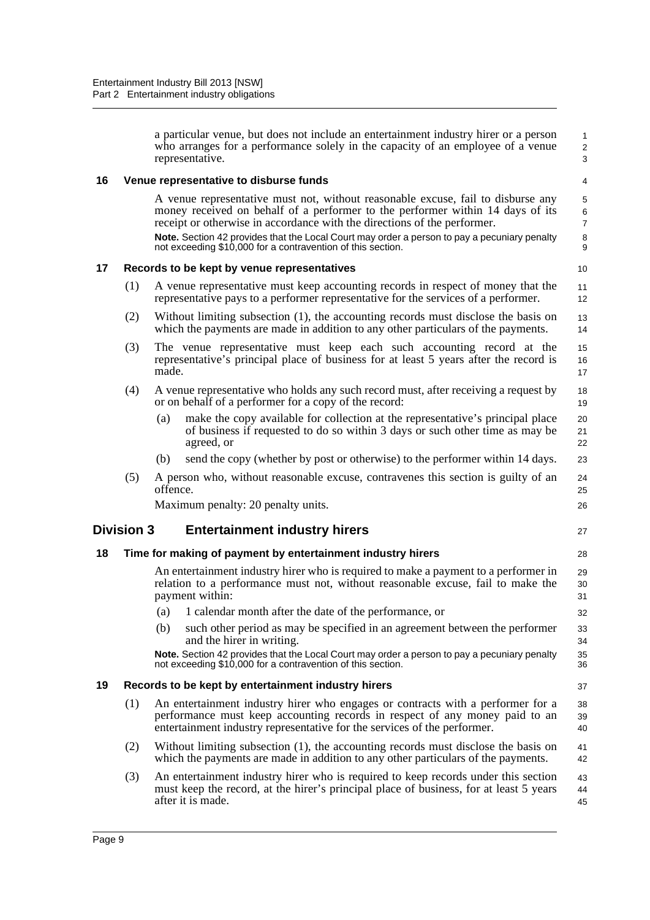a particular venue, but does not include an entertainment industry hirer or a person who arranges for a performance solely in the capacity of an employee of a venue representative.

3 4

27

37

1 2

#### <span id="page-16-0"></span>**16 Venue representative to disburse funds**

A venue representative must not, without reasonable excuse, fail to disburse any money received on behalf of a performer to the performer within 14 days of its receipt or otherwise in accordance with the directions of the performer. **Note.** Section 42 provides that the Local Court may order a person to pay a pecuniary penalty not exceeding \$10,000 for a contravention of this section.

#### <span id="page-16-1"></span>**17 Records to be kept by venue representatives**

- (1) A venue representative must keep accounting records in respect of money that the representative pays to a performer representative for the services of a performer.
- (2) Without limiting subsection (1), the accounting records must disclose the basis on which the payments are made in addition to any other particulars of the payments.
- (3) The venue representative must keep each such accounting record at the representative's principal place of business for at least 5 years after the record is made. 15 16 17
- (4) A venue representative who holds any such record must, after receiving a request by or on behalf of a performer for a copy of the record: 18 19
	- (a) make the copy available for collection at the representative's principal place of business if requested to do so within 3 days or such other time as may be agreed, or
	- (b) send the copy (whether by post or otherwise) to the performer within 14 days.
- (5) A person who, without reasonable excuse, contravenes this section is guilty of an offence.

Maximum penalty: 20 penalty units.

#### <span id="page-16-2"></span>**Division 3 Entertainment industry hirers**

#### <span id="page-16-3"></span>**18 Time for making of payment by entertainment industry hirers**

- An entertainment industry hirer who is required to make a payment to a performer in relation to a performance must not, without reasonable excuse, fail to make the payment within:
- (a) 1 calendar month after the date of the performance, or
- (b) such other period as may be specified in an agreement between the performer and the hirer in writing.

**Note.** Section 42 provides that the Local Court may order a person to pay a pecuniary penalty not exceeding \$10,000 for a contravention of this section.

#### <span id="page-16-4"></span>**19 Records to be kept by entertainment industry hirers**

- (1) An entertainment industry hirer who engages or contracts with a performer for a performance must keep accounting records in respect of any money paid to an entertainment industry representative for the services of the performer. 38 39 40
- (2) Without limiting subsection (1), the accounting records must disclose the basis on which the payments are made in addition to any other particulars of the payments. 41 42
- (3) An entertainment industry hirer who is required to keep records under this section must keep the record, at the hirer's principal place of business, for at least 5 years after it is made. 43 44 45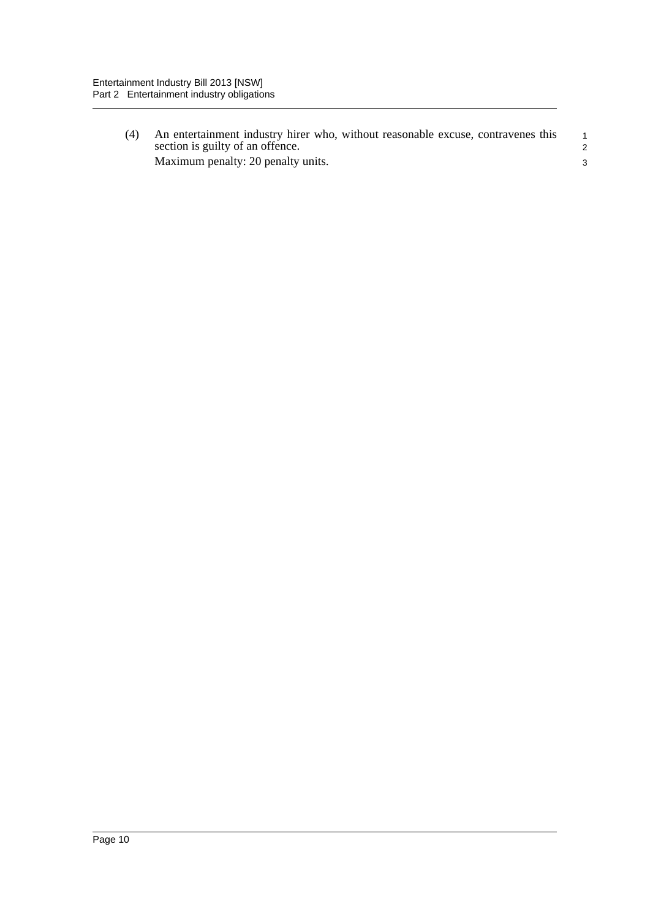(4) An entertainment industry hirer who, without reasonable excuse, contravenes this section is guilty of an offence. Maximum penalty: 20 penalty units. 1 2 3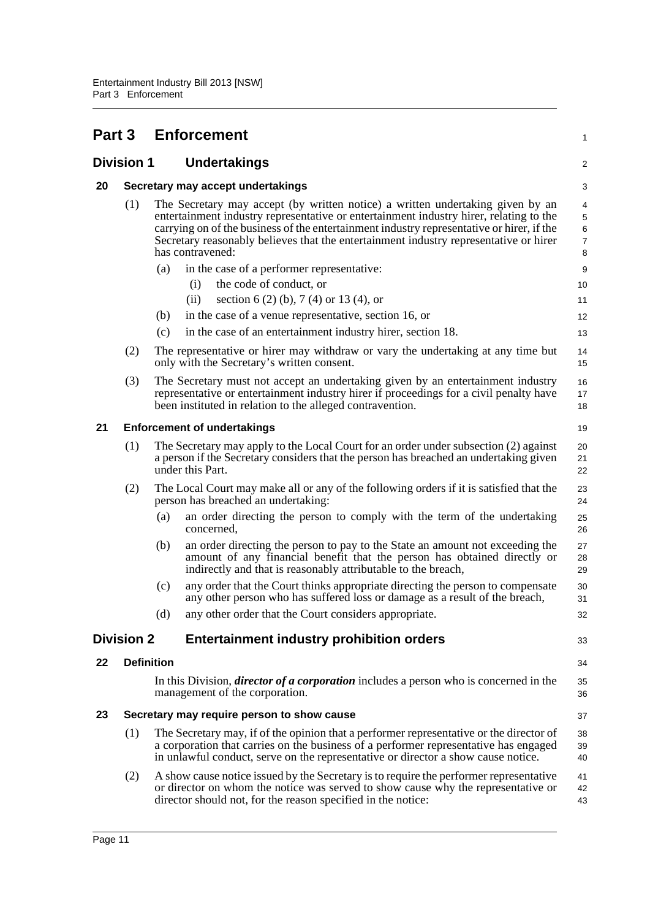<span id="page-18-6"></span><span id="page-18-5"></span><span id="page-18-4"></span><span id="page-18-3"></span><span id="page-18-2"></span><span id="page-18-1"></span><span id="page-18-0"></span>

|    |                   |     | <b>Part 3 Enforcement</b>                                                                                                                                                                                                                                                                                                                                                          | 1                                  |
|----|-------------------|-----|------------------------------------------------------------------------------------------------------------------------------------------------------------------------------------------------------------------------------------------------------------------------------------------------------------------------------------------------------------------------------------|------------------------------------|
|    | <b>Division 1</b> |     | <b>Undertakings</b>                                                                                                                                                                                                                                                                                                                                                                | $\overline{2}$                     |
| 20 |                   |     | Secretary may accept undertakings                                                                                                                                                                                                                                                                                                                                                  | 3                                  |
|    | (1)               |     | The Secretary may accept (by written notice) a written undertaking given by an<br>entertainment industry representative or entertainment industry hirer, relating to the<br>carrying on of the business of the entertainment industry representative or hirer, if the<br>Secretary reasonably believes that the entertainment industry representative or hirer<br>has contravened: | 4<br>5<br>6<br>$\overline{7}$<br>8 |
|    |                   | (a) | in the case of a performer representative:                                                                                                                                                                                                                                                                                                                                         | 9                                  |
|    |                   |     | the code of conduct, or<br>(i)<br>section 6 (2) (b), 7 (4) or 13 (4), or<br>(ii)                                                                                                                                                                                                                                                                                                   | 10<br>11                           |
|    |                   | (b) | in the case of a venue representative, section 16, or                                                                                                                                                                                                                                                                                                                              | 12                                 |
|    |                   | (c) | in the case of an entertainment industry hirer, section 18.                                                                                                                                                                                                                                                                                                                        | 13                                 |
|    | (2)               |     | The representative or hirer may withdraw or vary the undertaking at any time but<br>only with the Secretary's written consent.                                                                                                                                                                                                                                                     | 14<br>15                           |
|    | (3)               |     | The Secretary must not accept an undertaking given by an entertainment industry<br>representative or entertainment industry hirer if proceedings for a civil penalty have<br>been instituted in relation to the alleged contravention.                                                                                                                                             | 16<br>17<br>18                     |
| 21 |                   |     | <b>Enforcement of undertakings</b>                                                                                                                                                                                                                                                                                                                                                 | 19                                 |
|    | (1)               |     | The Secretary may apply to the Local Court for an order under subsection (2) against<br>a person if the Secretary considers that the person has breached an undertaking given<br>under this Part.                                                                                                                                                                                  | 20<br>21<br>22                     |
|    | (2)               |     | The Local Court may make all or any of the following orders if it is satisfied that the<br>person has breached an undertaking:                                                                                                                                                                                                                                                     | 23<br>24                           |
|    |                   | (a) | an order directing the person to comply with the term of the undertaking<br>concerned,                                                                                                                                                                                                                                                                                             | 25<br>26                           |
|    |                   | (b) | an order directing the person to pay to the State an amount not exceeding the<br>amount of any financial benefit that the person has obtained directly or<br>indirectly and that is reasonably attributable to the breach,                                                                                                                                                         | 27<br>28<br>29                     |
|    |                   | (c) | any order that the Court thinks appropriate directing the person to compensate<br>any other person who has suffered loss or damage as a result of the breach,                                                                                                                                                                                                                      | 30<br>31                           |
|    |                   | (d) | any other order that the Court considers appropriate.                                                                                                                                                                                                                                                                                                                              | 32                                 |
|    | <b>Division 2</b> |     | <b>Entertainment industry prohibition orders</b>                                                                                                                                                                                                                                                                                                                                   | 33                                 |
| 22 | <b>Definition</b> |     |                                                                                                                                                                                                                                                                                                                                                                                    | 34                                 |
|    |                   |     | In this Division, <i>director of a corporation</i> includes a person who is concerned in the<br>management of the corporation.                                                                                                                                                                                                                                                     | 35<br>36                           |
| 23 |                   |     | Secretary may require person to show cause                                                                                                                                                                                                                                                                                                                                         | 37                                 |
|    | (1)               |     | The Secretary may, if of the opinion that a performer representative or the director of<br>a corporation that carries on the business of a performer representative has engaged<br>in unlawful conduct, serve on the representative or director a show cause notice.                                                                                                               | 38<br>39<br>40                     |
|    | (2)               |     | A show cause notice issued by the Secretary is to require the performer representative<br>or director on whom the notice was served to show cause why the representative or<br>director should not, for the reason specified in the notice:                                                                                                                                        | 41<br>42<br>43                     |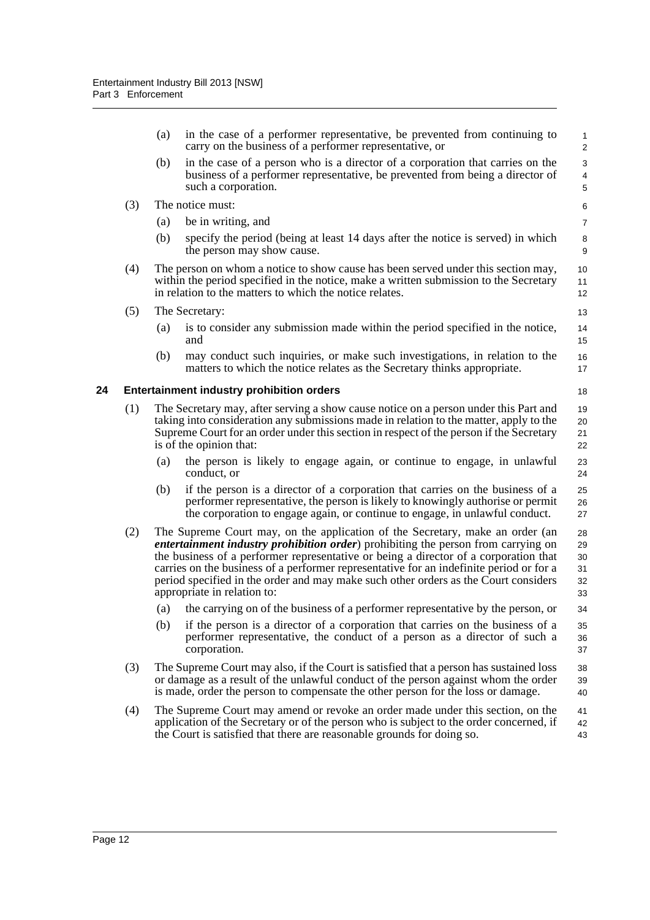<span id="page-19-0"></span>

|    |     | in the case of a performer representative, be prevented from continuing to<br>(a)<br>carry on the business of a performer representative, or                                                                                                                                                                                                                                                                                                                                        | $\mathbf{1}$<br>$\overline{c}$              |
|----|-----|-------------------------------------------------------------------------------------------------------------------------------------------------------------------------------------------------------------------------------------------------------------------------------------------------------------------------------------------------------------------------------------------------------------------------------------------------------------------------------------|---------------------------------------------|
|    |     | in the case of a person who is a director of a corporation that carries on the<br>(b)<br>business of a performer representative, be prevented from being a director of<br>such a corporation.                                                                                                                                                                                                                                                                                       | 3<br>$\overline{\mathbf{4}}$<br>$\mathbf 5$ |
|    | (3) | The notice must:                                                                                                                                                                                                                                                                                                                                                                                                                                                                    | 6                                           |
|    |     | be in writing, and<br>(a)                                                                                                                                                                                                                                                                                                                                                                                                                                                           | $\overline{7}$                              |
|    |     | (b)<br>specify the period (being at least 14 days after the notice is served) in which<br>the person may show cause.                                                                                                                                                                                                                                                                                                                                                                | 8<br>9                                      |
|    | (4) | The person on whom a notice to show cause has been served under this section may,<br>within the period specified in the notice, make a written submission to the Secretary<br>in relation to the matters to which the notice relates.                                                                                                                                                                                                                                               | 10<br>11<br>12                              |
|    | (5) | The Secretary:                                                                                                                                                                                                                                                                                                                                                                                                                                                                      | 13                                          |
|    |     | is to consider any submission made within the period specified in the notice,<br>(a)<br>and                                                                                                                                                                                                                                                                                                                                                                                         | 14<br>15                                    |
|    |     | (b)<br>may conduct such inquiries, or make such investigations, in relation to the<br>matters to which the notice relates as the Secretary thinks appropriate.                                                                                                                                                                                                                                                                                                                      | 16<br>17                                    |
| 24 |     | <b>Entertainment industry prohibition orders</b>                                                                                                                                                                                                                                                                                                                                                                                                                                    | 18                                          |
|    | (1) | The Secretary may, after serving a show cause notice on a person under this Part and<br>taking into consideration any submissions made in relation to the matter, apply to the<br>Supreme Court for an order under this section in respect of the person if the Secretary<br>is of the opinion that:                                                                                                                                                                                | 19<br>20<br>21<br>22                        |
|    |     | the person is likely to engage again, or continue to engage, in unlawful<br>(a)<br>conduct, or                                                                                                                                                                                                                                                                                                                                                                                      | 23<br>24                                    |
|    |     | (b)<br>if the person is a director of a corporation that carries on the business of a<br>performer representative, the person is likely to knowingly authorise or permit<br>the corporation to engage again, or continue to engage, in unlawful conduct.                                                                                                                                                                                                                            | 25<br>26<br>27                              |
|    | (2) | The Supreme Court may, on the application of the Secretary, make an order (an<br><i>entertainment industry prohibition order</i> ) prohibiting the person from carrying on<br>the business of a performer representative or being a director of a corporation that<br>carries on the business of a performer representative for an indefinite period or for a<br>period specified in the order and may make such other orders as the Court considers<br>appropriate in relation to: | 28<br>29<br>30<br>31<br>32<br>33            |
|    |     | (a)<br>the carrying on of the business of a performer representative by the person, or                                                                                                                                                                                                                                                                                                                                                                                              | 34                                          |
|    |     | if the person is a director of a corporation that carries on the business of a<br>(b)<br>performer representative, the conduct of a person as a director of such a<br>corporation.                                                                                                                                                                                                                                                                                                  | 35<br>36<br>37                              |
|    | (3) | The Supreme Court may also, if the Court is satisfied that a person has sustained loss<br>or damage as a result of the unlawful conduct of the person against whom the order<br>is made, order the person to compensate the other person for the loss or damage.                                                                                                                                                                                                                    | 38<br>39<br>40                              |
|    | (4) | The Supreme Court may amend or revoke an order made under this section, on the<br>application of the Secretary or of the person who is subject to the order concerned, if<br>the Court is satisfied that there are reasonable grounds for doing so.                                                                                                                                                                                                                                 | 41<br>42<br>43                              |
|    |     |                                                                                                                                                                                                                                                                                                                                                                                                                                                                                     |                                             |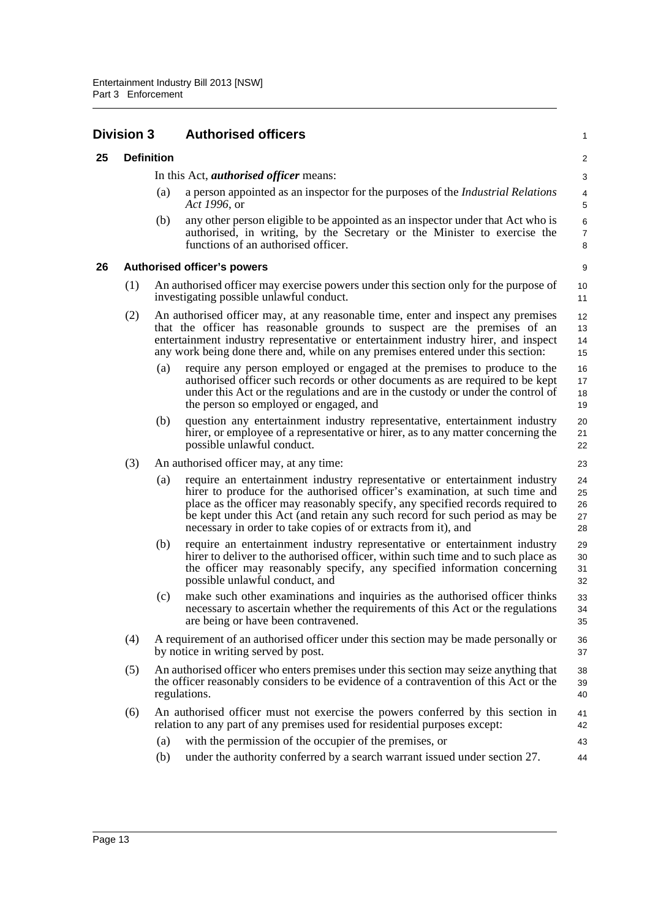<span id="page-20-2"></span><span id="page-20-1"></span><span id="page-20-0"></span>

| <b>Division 3</b> |                   |     | <b>Authorised officers</b>                                                                                                                                                                                                                                                                                                                                                                    |                               |  |  |
|-------------------|-------------------|-----|-----------------------------------------------------------------------------------------------------------------------------------------------------------------------------------------------------------------------------------------------------------------------------------------------------------------------------------------------------------------------------------------------|-------------------------------|--|--|
| 25                | <b>Definition</b> |     |                                                                                                                                                                                                                                                                                                                                                                                               |                               |  |  |
|                   |                   |     | In this Act, <i>authorised officer</i> means:                                                                                                                                                                                                                                                                                                                                                 | $\overline{\mathbf{c}}$<br>3  |  |  |
|                   |                   | (a) | a person appointed as an inspector for the purposes of the Industrial Relations<br>Act 1996, or                                                                                                                                                                                                                                                                                               | $\overline{\mathcal{L}}$<br>5 |  |  |
|                   |                   | (b) | any other person eligible to be appointed as an inspector under that Act who is<br>authorised, in writing, by the Secretary or the Minister to exercise the<br>functions of an authorised officer.                                                                                                                                                                                            | 6<br>7<br>8                   |  |  |
| 26                |                   |     | <b>Authorised officer's powers</b>                                                                                                                                                                                                                                                                                                                                                            | 9                             |  |  |
|                   | (1)               |     | An authorised officer may exercise powers under this section only for the purpose of<br>investigating possible unlawful conduct.                                                                                                                                                                                                                                                              | 10<br>11                      |  |  |
|                   | (2)               |     | An authorised officer may, at any reasonable time, enter and inspect any premises<br>that the officer has reasonable grounds to suspect are the premises of an<br>entertainment industry representative or entertainment industry hirer, and inspect<br>any work being done there and, while on any premises entered under this section:                                                      | 12<br>13<br>14<br>15          |  |  |
|                   |                   | (a) | require any person employed or engaged at the premises to produce to the<br>authorised officer such records or other documents as are required to be kept<br>under this Act or the regulations and are in the custody or under the control of<br>the person so employed or engaged, and                                                                                                       | 16<br>17<br>18<br>19          |  |  |
|                   |                   | (b) | question any entertainment industry representative, entertainment industry<br>hirer, or employee of a representative or hirer, as to any matter concerning the<br>possible unlawful conduct.                                                                                                                                                                                                  | 20<br>21<br>22                |  |  |
|                   | (3)               |     | An authorised officer may, at any time:                                                                                                                                                                                                                                                                                                                                                       | 23                            |  |  |
|                   |                   | (a) | require an entertainment industry representative or entertainment industry<br>hirer to produce for the authorised officer's examination, at such time and<br>place as the officer may reasonably specify, any specified records required to<br>be kept under this Act (and retain any such record for such period as may be<br>necessary in order to take copies of or extracts from it), and | 24<br>25<br>26<br>27<br>28    |  |  |
|                   |                   | (b) | require an entertainment industry representative or entertainment industry<br>hirer to deliver to the authorised officer, within such time and to such place as<br>the officer may reasonably specify, any specified information concerning<br>possible unlawful conduct, and                                                                                                                 | 29<br>30<br>31<br>32          |  |  |
|                   |                   | (c) | make such other examinations and inquiries as the authorised officer thinks<br>necessary to ascertain whether the requirements of this Act or the regulations<br>are being or have been contravened.                                                                                                                                                                                          | 33<br>34<br>35                |  |  |
|                   | (4)               |     | A requirement of an authorised officer under this section may be made personally or<br>by notice in writing served by post.                                                                                                                                                                                                                                                                   | 36<br>37                      |  |  |
|                   | (5)               |     | An authorised officer who enters premises under this section may seize anything that<br>the officer reasonably considers to be evidence of a contravention of this Act or the<br>regulations.                                                                                                                                                                                                 | 38<br>39<br>40                |  |  |
|                   | (6)               |     | An authorised officer must not exercise the powers conferred by this section in<br>relation to any part of any premises used for residential purposes except:                                                                                                                                                                                                                                 | 41<br>42                      |  |  |
|                   |                   | (a) | with the permission of the occupier of the premises, or                                                                                                                                                                                                                                                                                                                                       | 43                            |  |  |
|                   |                   | (b) | under the authority conferred by a search warrant issued under section 27.                                                                                                                                                                                                                                                                                                                    | 44                            |  |  |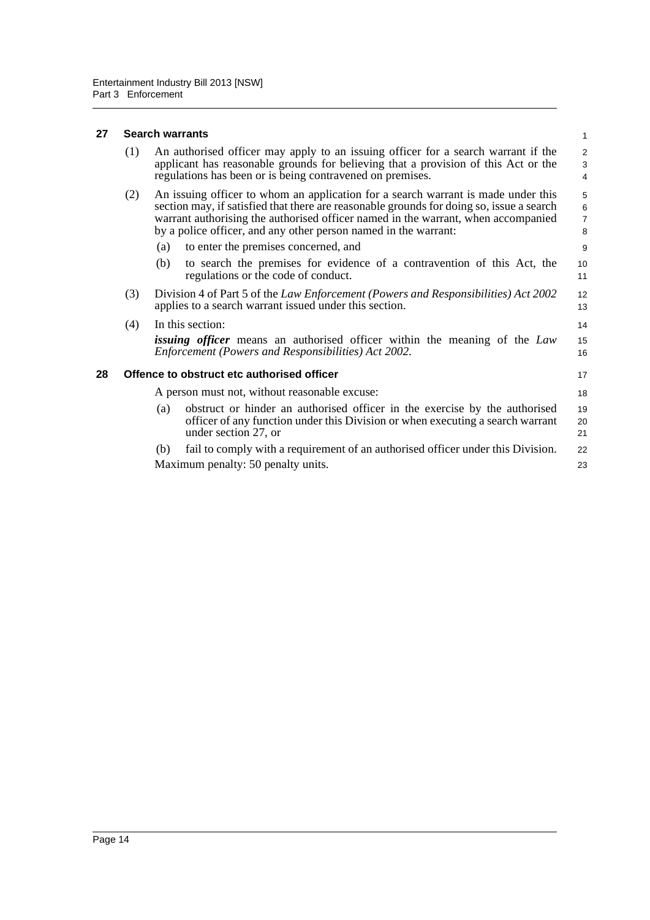#### <span id="page-21-0"></span>**27 Search warrants**

<span id="page-21-1"></span>

|    | (1) |     | An authorised officer may apply to an issuing officer for a search warrant if the<br>applicant has reasonable grounds for believing that a provision of this Act or the<br>regulations has been or is being contravened on premises.                                                                                                                                          | $\overline{2}$<br>3<br>$\overline{4}$           |
|----|-----|-----|-------------------------------------------------------------------------------------------------------------------------------------------------------------------------------------------------------------------------------------------------------------------------------------------------------------------------------------------------------------------------------|-------------------------------------------------|
|    | (2) | (a) | An issuing officer to whom an application for a search warrant is made under this<br>section may, if satisfied that there are reasonable grounds for doing so, issue a search<br>warrant authorising the authorised officer named in the warrant, when accompanied<br>by a police officer, and any other person named in the warrant:<br>to enter the premises concerned, and | 5<br>$6\phantom{a}$<br>$\overline{7}$<br>8<br>9 |
|    |     | (b) | to search the premises for evidence of a contravention of this Act, the<br>regulations or the code of conduct.                                                                                                                                                                                                                                                                | 10<br>11                                        |
|    | (3) |     | Division 4 of Part 5 of the Law Enforcement (Powers and Responsibilities) Act 2002<br>applies to a search warrant issued under this section.                                                                                                                                                                                                                                  | 12<br>13                                        |
|    | (4) |     | In this section:<br><i>issuing officer</i> means an authorised officer within the meaning of the Law<br>Enforcement (Powers and Responsibilities) Act 2002.                                                                                                                                                                                                                   | 14<br>15<br>16                                  |
| 28 |     |     | Offence to obstruct etc authorised officer                                                                                                                                                                                                                                                                                                                                    | 17                                              |
|    |     |     | A person must not, without reasonable excuse:                                                                                                                                                                                                                                                                                                                                 | 18                                              |
|    |     | (a) | obstruct or hinder an authorised officer in the exercise by the authorised<br>officer of any function under this Division or when executing a search warrant<br>under section 27, or                                                                                                                                                                                          | 19<br>20<br>21                                  |
|    |     | (b) | fail to comply with a requirement of an authorised officer under this Division.<br>Maximum penalty: 50 penalty units.                                                                                                                                                                                                                                                         | 22<br>23                                        |

1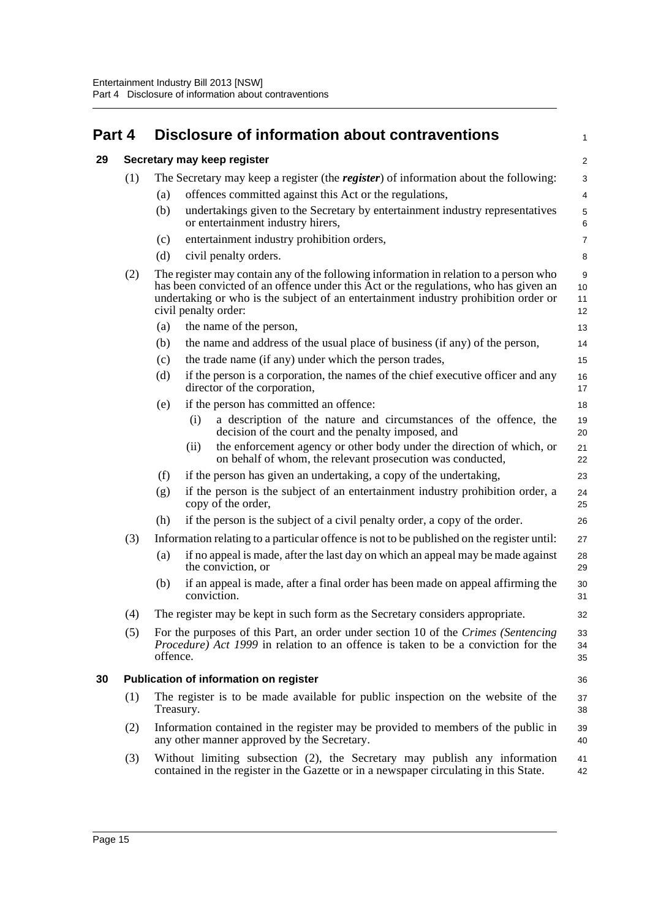<span id="page-22-2"></span><span id="page-22-1"></span><span id="page-22-0"></span>

| Part 4 |     | Disclosure of information about contraventions |                                                                                                                                                                                                                                                                                              |                     |  |  |
|--------|-----|------------------------------------------------|----------------------------------------------------------------------------------------------------------------------------------------------------------------------------------------------------------------------------------------------------------------------------------------------|---------------------|--|--|
| 29     |     |                                                | Secretary may keep register                                                                                                                                                                                                                                                                  | $\sqrt{2}$          |  |  |
|        | (1) |                                                | The Secretary may keep a register (the <i>register</i> ) of information about the following:                                                                                                                                                                                                 | 3                   |  |  |
|        |     | (a)                                            | offences committed against this Act or the regulations,                                                                                                                                                                                                                                      | $\overline{4}$      |  |  |
|        |     | (b)                                            | undertakings given to the Secretary by entertainment industry representatives<br>or entertainment industry hirers,                                                                                                                                                                           | 5<br>6              |  |  |
|        |     | (c)                                            | entertainment industry prohibition orders,                                                                                                                                                                                                                                                   | $\overline{7}$      |  |  |
|        |     | (d)                                            | civil penalty orders.                                                                                                                                                                                                                                                                        | 8                   |  |  |
|        | (2) |                                                | The register may contain any of the following information in relation to a person who<br>has been convicted of an offence under this Act or the regulations, who has given an<br>undertaking or who is the subject of an entertainment industry prohibition order or<br>civil penalty order: | 9<br>10<br>11<br>12 |  |  |
|        |     | (a)                                            | the name of the person,                                                                                                                                                                                                                                                                      | 13                  |  |  |
|        |     | (b)                                            | the name and address of the usual place of business (if any) of the person,                                                                                                                                                                                                                  | 14                  |  |  |
|        |     | (c)                                            | the trade name (if any) under which the person trades,                                                                                                                                                                                                                                       | 15                  |  |  |
|        |     | (d)                                            | if the person is a corporation, the names of the chief executive officer and any<br>director of the corporation,                                                                                                                                                                             | 16<br>17            |  |  |
|        |     | (e)                                            | if the person has committed an offence:                                                                                                                                                                                                                                                      | 18                  |  |  |
|        |     |                                                | a description of the nature and circumstances of the offence, the<br>(i)<br>decision of the court and the penalty imposed, and                                                                                                                                                               | 19<br>20            |  |  |
|        |     |                                                | the enforcement agency or other body under the direction of which, or<br>(ii)<br>on behalf of whom, the relevant prosecution was conducted,                                                                                                                                                  | 21<br>22            |  |  |
|        |     | (f)                                            | if the person has given an undertaking, a copy of the undertaking,                                                                                                                                                                                                                           | 23                  |  |  |
|        |     | (g)                                            | if the person is the subject of an entertainment industry prohibition order, a<br>copy of the order,                                                                                                                                                                                         | 24<br>25            |  |  |
|        |     | (h)                                            | if the person is the subject of a civil penalty order, a copy of the order.                                                                                                                                                                                                                  | 26                  |  |  |
|        | (3) |                                                | Information relating to a particular offence is not to be published on the register until:                                                                                                                                                                                                   | 27                  |  |  |
|        |     | (a)                                            | if no appeal is made, after the last day on which an appeal may be made against<br>the conviction, or                                                                                                                                                                                        | 28<br>29            |  |  |
|        |     | (b)                                            | if an appeal is made, after a final order has been made on appeal affirming the<br>conviction.                                                                                                                                                                                               | 30<br>31            |  |  |
|        | (4) |                                                | The register may be kept in such form as the Secretary considers appropriate.                                                                                                                                                                                                                | 32                  |  |  |
|        | (5) | offence.                                       | For the purposes of this Part, an order under section 10 of the Crimes (Sentencing<br><i>Procedure)</i> Act 1999 in relation to an offence is taken to be a conviction for the                                                                                                               | 33<br>34<br>35      |  |  |
| 30     |     |                                                | Publication of information on register                                                                                                                                                                                                                                                       | 36                  |  |  |
|        | (1) | Treasury.                                      | The register is to be made available for public inspection on the website of the                                                                                                                                                                                                             | 37<br>38            |  |  |
|        | (2) |                                                | Information contained in the register may be provided to members of the public in<br>any other manner approved by the Secretary.                                                                                                                                                             | 39<br>40            |  |  |
|        | (3) |                                                | Without limiting subsection (2), the Secretary may publish any information<br>contained in the register in the Gazette or in a newspaper circulating in this State.                                                                                                                          | 41<br>42            |  |  |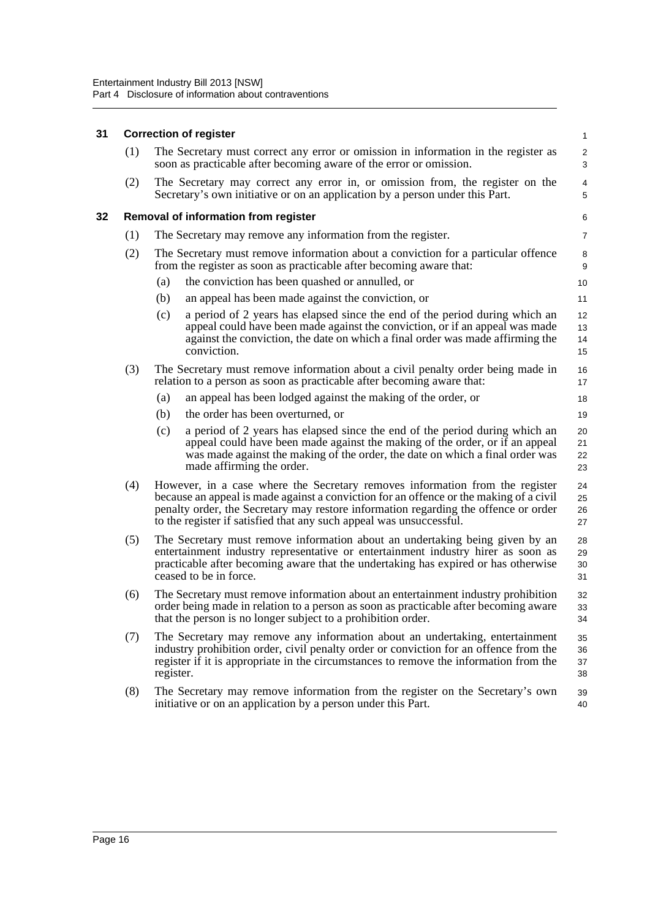## <span id="page-23-0"></span>**31 Correction of register**

<span id="page-23-1"></span>

| 31 |     |           | <b>Correction of register</b>                                                                                                                                                                                                                                                                                                        | $\mathbf{1}$                 |
|----|-----|-----------|--------------------------------------------------------------------------------------------------------------------------------------------------------------------------------------------------------------------------------------------------------------------------------------------------------------------------------------|------------------------------|
|    | (1) |           | The Secretary must correct any error or omission in information in the register as<br>soon as practicable after becoming aware of the error or omission.                                                                                                                                                                             | $\overline{\mathbf{c}}$<br>3 |
|    | (2) |           | The Secretary may correct any error in, or omission from, the register on the<br>Secretary's own initiative or on an application by a person under this Part.                                                                                                                                                                        | $\overline{4}$<br>$\sqrt{5}$ |
| 32 |     |           | Removal of information from register                                                                                                                                                                                                                                                                                                 | 6                            |
|    | (1) |           | The Secretary may remove any information from the register.                                                                                                                                                                                                                                                                          | $\overline{7}$               |
|    | (2) |           | The Secretary must remove information about a conviction for a particular offence<br>from the register as soon as practicable after becoming aware that:                                                                                                                                                                             | 8<br>9                       |
|    |     | (a)       | the conviction has been quashed or annulled, or                                                                                                                                                                                                                                                                                      | 10                           |
|    |     | (b)       | an appeal has been made against the conviction, or                                                                                                                                                                                                                                                                                   | 11                           |
|    |     | (c)       | a period of 2 years has elapsed since the end of the period during which an<br>appeal could have been made against the conviction, or if an appeal was made<br>against the conviction, the date on which a final order was made affirming the<br>conviction.                                                                         | 12<br>13<br>14<br>15         |
|    | (3) |           | The Secretary must remove information about a civil penalty order being made in<br>relation to a person as soon as practicable after becoming aware that:                                                                                                                                                                            | 16<br>17                     |
|    |     | (a)       | an appeal has been lodged against the making of the order, or                                                                                                                                                                                                                                                                        | 18                           |
|    |     | (b)       | the order has been overturned, or                                                                                                                                                                                                                                                                                                    | 19                           |
|    |     | (c)       | a period of 2 years has elapsed since the end of the period during which an<br>appeal could have been made against the making of the order, or if an appeal<br>was made against the making of the order, the date on which a final order was<br>made affirming the order.                                                            | 20<br>21<br>22<br>23         |
|    | (4) |           | However, in a case where the Secretary removes information from the register<br>because an appeal is made against a conviction for an offence or the making of a civil<br>penalty order, the Secretary may restore information regarding the offence or order<br>to the register if satisfied that any such appeal was unsuccessful. | 24<br>25<br>26<br>27         |
|    | (5) |           | The Secretary must remove information about an undertaking being given by an<br>entertainment industry representative or entertainment industry hirer as soon as<br>practicable after becoming aware that the undertaking has expired or has otherwise<br>ceased to be in force.                                                     | 28<br>29<br>30<br>31         |
|    | (6) |           | The Secretary must remove information about an entertainment industry prohibition<br>order being made in relation to a person as soon as practicable after becoming aware<br>that the person is no longer subject to a prohibition order.                                                                                            | 32<br>33<br>34               |
|    | (7) | register. | The Secretary may remove any information about an undertaking, entertainment<br>industry prohibition order, civil penalty order or conviction for an offence from the<br>register if it is appropriate in the circumstances to remove the information from the                                                                       | 35<br>36<br>37<br>38         |
|    | (8) |           | The Secretary may remove information from the register on the Secretary's own<br>initiative or on an application by a person under this Part.                                                                                                                                                                                        | 39<br>40                     |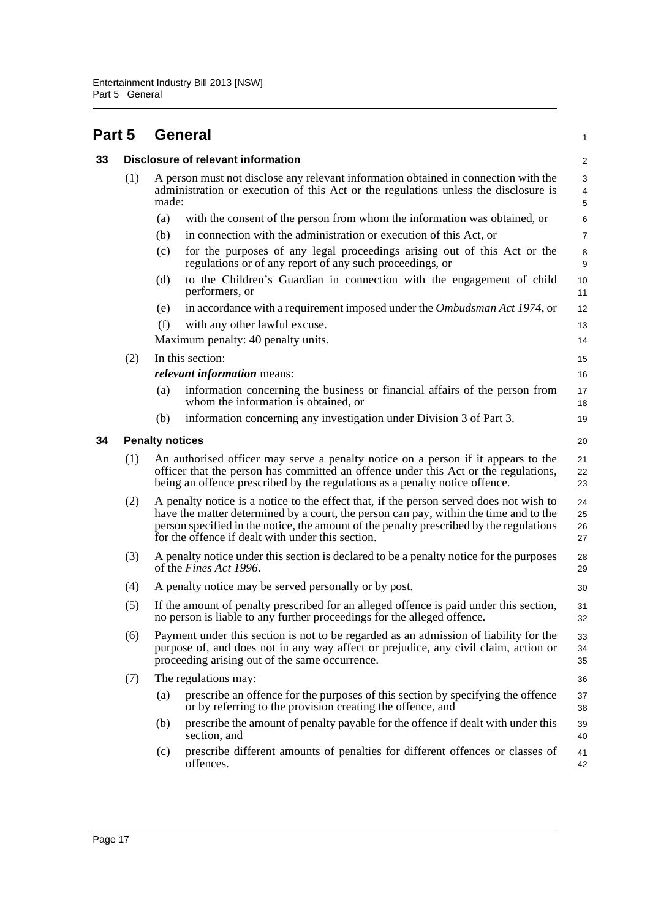<span id="page-24-2"></span><span id="page-24-1"></span><span id="page-24-0"></span>

| Part 5 |     | <b>General</b>         |                                                                                                                                                                                                                                                                                                                                 |                      |  |  |  |  |
|--------|-----|------------------------|---------------------------------------------------------------------------------------------------------------------------------------------------------------------------------------------------------------------------------------------------------------------------------------------------------------------------------|----------------------|--|--|--|--|
| 33     |     |                        | <b>Disclosure of relevant information</b>                                                                                                                                                                                                                                                                                       | 2                    |  |  |  |  |
|        | (1) | made:                  | A person must not disclose any relevant information obtained in connection with the<br>administration or execution of this Act or the regulations unless the disclosure is                                                                                                                                                      | 3<br>$\pmb{4}$<br>5  |  |  |  |  |
|        |     | (a)                    | with the consent of the person from whom the information was obtained, or                                                                                                                                                                                                                                                       | 6                    |  |  |  |  |
|        |     | (b)                    | in connection with the administration or execution of this Act, or                                                                                                                                                                                                                                                              | $\overline{7}$       |  |  |  |  |
|        |     | (c)                    | for the purposes of any legal proceedings arising out of this Act or the<br>regulations or of any report of any such proceedings, or                                                                                                                                                                                            | 8<br>9               |  |  |  |  |
|        |     | (d)                    | to the Children's Guardian in connection with the engagement of child<br>performers, or                                                                                                                                                                                                                                         | 10<br>11             |  |  |  |  |
|        |     | (e)                    | in accordance with a requirement imposed under the Ombudsman Act 1974, or                                                                                                                                                                                                                                                       | 12                   |  |  |  |  |
|        |     | (f)                    | with any other lawful excuse.                                                                                                                                                                                                                                                                                                   | 13                   |  |  |  |  |
|        |     |                        | Maximum penalty: 40 penalty units.                                                                                                                                                                                                                                                                                              | 14                   |  |  |  |  |
|        | (2) |                        | In this section:                                                                                                                                                                                                                                                                                                                | 15                   |  |  |  |  |
|        |     |                        | <i>relevant information</i> means:                                                                                                                                                                                                                                                                                              | 16                   |  |  |  |  |
|        |     | (a)                    | information concerning the business or financial affairs of the person from<br>whom the information is obtained, or                                                                                                                                                                                                             | 17<br>18             |  |  |  |  |
|        |     | (b)                    | information concerning any investigation under Division 3 of Part 3.                                                                                                                                                                                                                                                            | 19                   |  |  |  |  |
| 34     |     | <b>Penalty notices</b> |                                                                                                                                                                                                                                                                                                                                 | 20                   |  |  |  |  |
|        | (1) |                        | An authorised officer may serve a penalty notice on a person if it appears to the<br>officer that the person has committed an offence under this Act or the regulations,<br>being an offence prescribed by the regulations as a penalty notice offence.                                                                         | 21<br>22<br>23       |  |  |  |  |
|        | (2) |                        | A penalty notice is a notice to the effect that, if the person served does not wish to<br>have the matter determined by a court, the person can pay, within the time and to the<br>person specified in the notice, the amount of the penalty prescribed by the regulations<br>for the offence if dealt with under this section. | 24<br>25<br>26<br>27 |  |  |  |  |
|        | (3) |                        | A penalty notice under this section is declared to be a penalty notice for the purposes<br>of the <i>Fines Act 1996</i> .                                                                                                                                                                                                       | 28<br>29             |  |  |  |  |
|        | (4) |                        | A penalty notice may be served personally or by post.                                                                                                                                                                                                                                                                           | 30                   |  |  |  |  |
|        | (5) |                        | If the amount of penalty prescribed for an alleged offence is paid under this section,<br>no person is liable to any further proceedings for the alleged offence.                                                                                                                                                               | 31<br>32             |  |  |  |  |
|        | (6) |                        | Payment under this section is not to be regarded as an admission of liability for the<br>purpose of, and does not in any way affect or prejudice, any civil claim, action or<br>proceeding arising out of the same occurrence.                                                                                                  | 33<br>34<br>35       |  |  |  |  |
|        | (7) |                        | The regulations may:                                                                                                                                                                                                                                                                                                            | 36                   |  |  |  |  |
|        |     | (a)                    | prescribe an offence for the purposes of this section by specifying the offence<br>or by referring to the provision creating the offence, and                                                                                                                                                                                   | 37<br>38             |  |  |  |  |
|        |     | (b)                    | prescribe the amount of penalty payable for the offence if dealt with under this<br>section, and                                                                                                                                                                                                                                | 39<br>40             |  |  |  |  |
|        |     | (c)                    | prescribe different amounts of penalties for different offences or classes of<br>offences.                                                                                                                                                                                                                                      | 41<br>42             |  |  |  |  |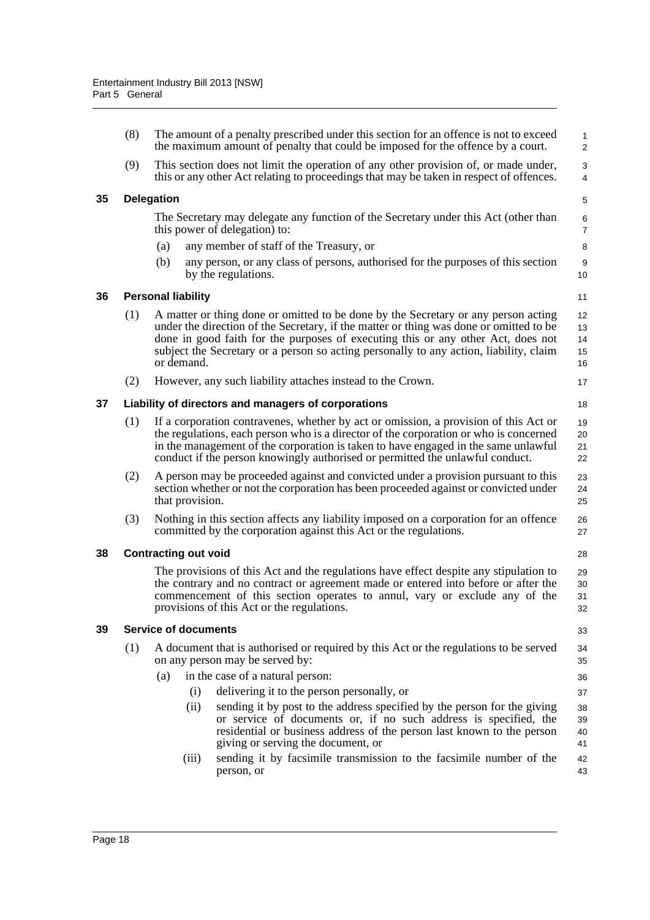<span id="page-25-4"></span><span id="page-25-3"></span><span id="page-25-2"></span><span id="page-25-1"></span><span id="page-25-0"></span>

|    | (8) | The amount of a penalty prescribed under this section for an offence is not to exceed<br>the maximum amount of penalty that could be imposed for the offence by a court.                                                                                                                                                                                                 | 1<br>$\overline{\mathbf{c}}$ |  |  |  |  |
|----|-----|--------------------------------------------------------------------------------------------------------------------------------------------------------------------------------------------------------------------------------------------------------------------------------------------------------------------------------------------------------------------------|------------------------------|--|--|--|--|
|    | (9) | This section does not limit the operation of any other provision of, or made under,<br>this or any other Act relating to proceedings that may be taken in respect of offences.                                                                                                                                                                                           | 3<br>4                       |  |  |  |  |
| 35 |     | <b>Delegation</b><br>5                                                                                                                                                                                                                                                                                                                                                   |                              |  |  |  |  |
|    |     | The Secretary may delegate any function of the Secretary under this Act (other than<br>this power of delegation) to:                                                                                                                                                                                                                                                     | 6<br>$\overline{7}$          |  |  |  |  |
|    |     | any member of staff of the Treasury, or<br>(a)                                                                                                                                                                                                                                                                                                                           | 8                            |  |  |  |  |
|    |     | (b)<br>any person, or any class of persons, authorised for the purposes of this section<br>by the regulations.                                                                                                                                                                                                                                                           | 9<br>10                      |  |  |  |  |
| 36 |     | <b>Personal liability</b>                                                                                                                                                                                                                                                                                                                                                | 11                           |  |  |  |  |
|    | (1) | A matter or thing done or omitted to be done by the Secretary or any person acting<br>under the direction of the Secretary, if the matter or thing was done or omitted to be<br>done in good faith for the purposes of executing this or any other Act, does not<br>subject the Secretary or a person so acting personally to any action, liability, claim<br>or demand. | 12<br>13<br>14<br>15<br>16   |  |  |  |  |
|    | (2) | However, any such liability attaches instead to the Crown.                                                                                                                                                                                                                                                                                                               | 17                           |  |  |  |  |
| 37 |     | Liability of directors and managers of corporations                                                                                                                                                                                                                                                                                                                      | 18                           |  |  |  |  |
|    | (1) | If a corporation contravenes, whether by act or omission, a provision of this Act or<br>the regulations, each person who is a director of the corporation or who is concerned<br>in the management of the corporation is taken to have engaged in the same unlawful<br>conduct if the person knowingly authorised or permitted the unlawful conduct.                     | 19<br>20<br>21<br>22         |  |  |  |  |
|    | (2) | A person may be proceeded against and convicted under a provision pursuant to this<br>section whether or not the corporation has been proceeded against or convicted under<br>that provision.                                                                                                                                                                            | 23<br>24<br>25               |  |  |  |  |
|    | (3) | Nothing in this section affects any liability imposed on a corporation for an offence<br>committed by the corporation against this Act or the regulations.                                                                                                                                                                                                               | 26<br>27                     |  |  |  |  |
| 38 |     | <b>Contracting out void</b>                                                                                                                                                                                                                                                                                                                                              | 28                           |  |  |  |  |
|    |     | The provisions of this Act and the regulations have effect despite any stipulation to<br>the contrary and no contract or agreement made or entered into before or after the<br>commencement of this section operates to annul, vary or exclude any of the<br>provisions of this Act or the regulations.                                                                  | 29<br>30<br>31<br>32         |  |  |  |  |
| 39 |     | <b>Service of documents</b>                                                                                                                                                                                                                                                                                                                                              | 33                           |  |  |  |  |
|    | (1) | A document that is authorised or required by this Act or the regulations to be served<br>on any person may be served by:                                                                                                                                                                                                                                                 | 34<br>35                     |  |  |  |  |
|    |     | in the case of a natural person:<br>(a)                                                                                                                                                                                                                                                                                                                                  | 36                           |  |  |  |  |
|    |     | delivering it to the person personally, or<br>(i)                                                                                                                                                                                                                                                                                                                        | 37                           |  |  |  |  |
|    |     | sending it by post to the address specified by the person for the giving<br>(ii)<br>or service of documents or, if no such address is specified, the<br>residential or business address of the person last known to the person<br>giving or serving the document, or                                                                                                     | 38<br>39<br>40<br>41         |  |  |  |  |
|    |     | sending it by facsimile transmission to the facsimile number of the<br>(iii)<br>person, or                                                                                                                                                                                                                                                                               | 42<br>43                     |  |  |  |  |
|    |     |                                                                                                                                                                                                                                                                                                                                                                          |                              |  |  |  |  |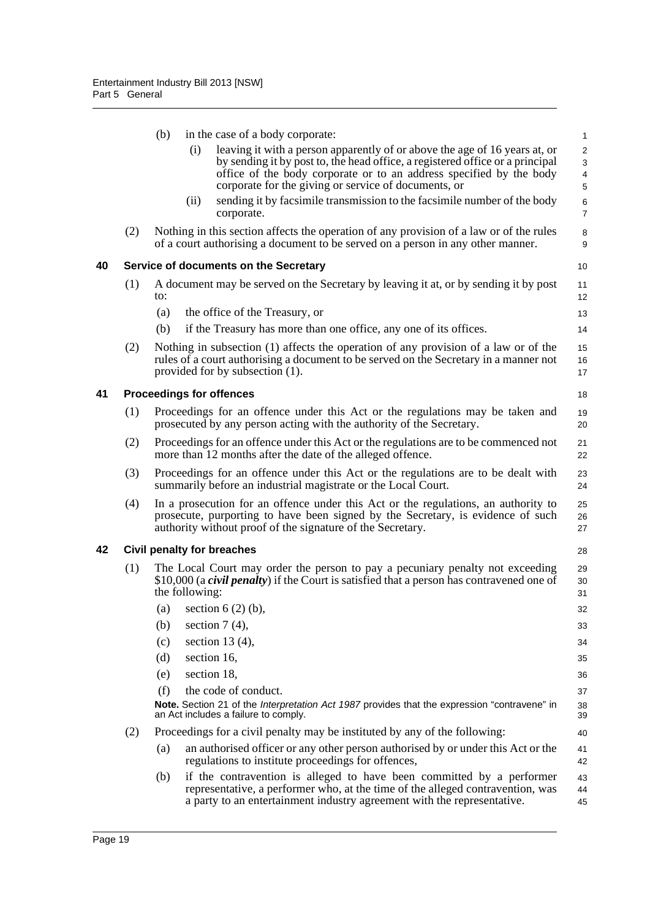<span id="page-26-2"></span><span id="page-26-1"></span><span id="page-26-0"></span>

|    |     | (b) |                | in the case of a body corporate:                                                                                                                                                                                                                                                           | $\mathbf{1}$                  |
|----|-----|-----|----------------|--------------------------------------------------------------------------------------------------------------------------------------------------------------------------------------------------------------------------------------------------------------------------------------------|-------------------------------|
|    |     |     | (i)            | leaving it with a person apparently of or above the age of 16 years at, or<br>by sending it by post to, the head office, a registered office or a principal<br>office of the body corporate or to an address specified by the body<br>corporate for the giving or service of documents, or | $\overline{2}$<br>3<br>4<br>5 |
|    |     |     | (ii)           | sending it by facsimile transmission to the facsimile number of the body<br>corporate.                                                                                                                                                                                                     | 6<br>$\overline{7}$           |
|    | (2) |     |                | Nothing in this section affects the operation of any provision of a law or of the rules<br>of a court authorising a document to be served on a person in any other manner.                                                                                                                 | 8<br>9                        |
| 40 |     |     |                | Service of documents on the Secretary                                                                                                                                                                                                                                                      | 10                            |
|    | (1) | to: |                | A document may be served on the Secretary by leaving it at, or by sending it by post                                                                                                                                                                                                       | 11<br>12                      |
|    |     | (a) |                | the office of the Treasury, or                                                                                                                                                                                                                                                             | 13                            |
|    |     | (b) |                | if the Treasury has more than one office, any one of its offices.                                                                                                                                                                                                                          | 14                            |
|    | (2) |     |                | Nothing in subsection (1) affects the operation of any provision of a law or of the<br>rules of a court authorising a document to be served on the Secretary in a manner not<br>provided for by subsection (1).                                                                            | 15<br>16<br>17                |
| 41 |     |     |                | <b>Proceedings for offences</b>                                                                                                                                                                                                                                                            | 18                            |
|    | (1) |     |                | Proceedings for an offence under this Act or the regulations may be taken and<br>prosecuted by any person acting with the authority of the Secretary.                                                                                                                                      | 19<br>20                      |
|    | (2) |     |                | Proceedings for an offence under this Act or the regulations are to be commenced not<br>more than 12 months after the date of the alleged offence.                                                                                                                                         | 21<br>22                      |
|    | (3) |     |                | Proceedings for an offence under this Act or the regulations are to be dealt with<br>summarily before an industrial magistrate or the Local Court.                                                                                                                                         | 23<br>24                      |
|    | (4) |     |                | In a prosecution for an offence under this Act or the regulations, an authority to<br>prosecute, purporting to have been signed by the Secretary, is evidence of such<br>authority without proof of the signature of the Secretary.                                                        | 25<br>26<br>27                |
| 42 |     |     |                | <b>Civil penalty for breaches</b>                                                                                                                                                                                                                                                          | 28                            |
|    | (1) |     | the following: | The Local Court may order the person to pay a pecuniary penalty not exceeding<br>\$10,000 (a <i>civil penalty</i> ) if the Court is satisfied that a person has contravened one of                                                                                                         | 29<br>30<br>31                |
|    |     | (a) |                | section $6(2)$ (b),                                                                                                                                                                                                                                                                        | 32                            |
|    |     | (b) |                | section $7(4)$ ,                                                                                                                                                                                                                                                                           | 33                            |
|    |     | (c) |                | section 13 $(4)$ ,                                                                                                                                                                                                                                                                         | 34                            |
|    |     | (d) |                | section 16,                                                                                                                                                                                                                                                                                | 35                            |
|    |     | (e) |                | section 18,                                                                                                                                                                                                                                                                                | 36                            |
|    |     | (f) |                | the code of conduct.                                                                                                                                                                                                                                                                       | 37                            |
|    |     |     |                | Note. Section 21 of the Interpretation Act 1987 provides that the expression "contravene" in<br>an Act includes a failure to comply.                                                                                                                                                       | 38<br>39                      |
|    | (2) |     |                | Proceedings for a civil penalty may be instituted by any of the following:                                                                                                                                                                                                                 | 40                            |
|    |     | (a) |                | an authorised officer or any other person authorised by or under this Act or the<br>regulations to institute proceedings for offences,                                                                                                                                                     | 41<br>42                      |
|    |     | (b) |                | if the contravention is alleged to have been committed by a performer<br>representative, a performer who, at the time of the alleged contravention, was<br>a party to an entertainment industry agreement with the representative.                                                         | 43<br>44<br>45                |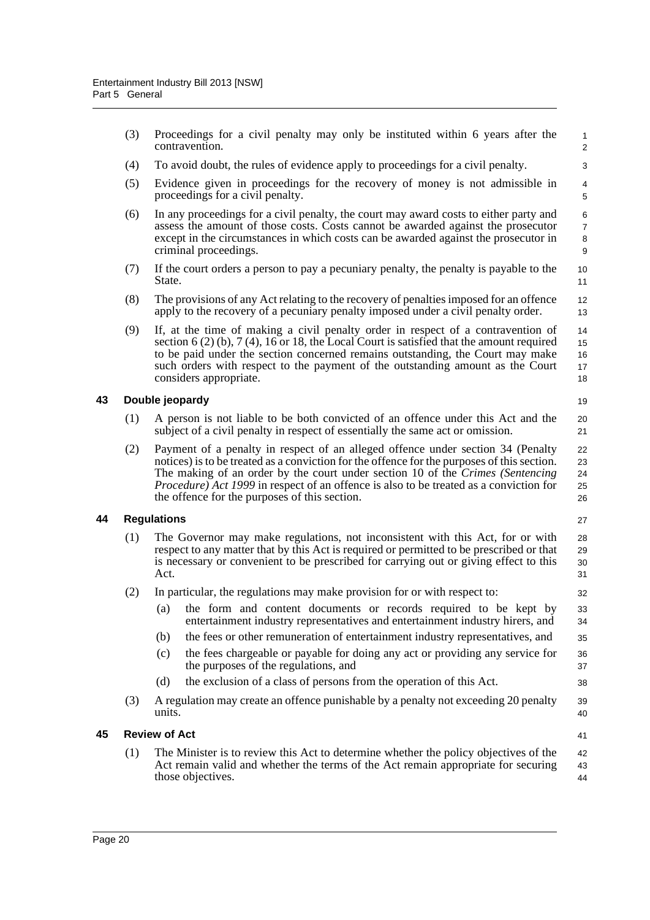| (3) | Proceedings for a civil penalty may only be instituted within 6 years after the<br>contravention.                                                                                                                                                                                                                                                                                                                  | $\mathbf{1}$<br>2                           |
|-----|--------------------------------------------------------------------------------------------------------------------------------------------------------------------------------------------------------------------------------------------------------------------------------------------------------------------------------------------------------------------------------------------------------------------|---------------------------------------------|
| (4) | To avoid doubt, the rules of evidence apply to proceedings for a civil penalty.                                                                                                                                                                                                                                                                                                                                    | 3                                           |
| (5) | Evidence given in proceedings for the recovery of money is not admissible in<br>proceedings for a civil penalty.                                                                                                                                                                                                                                                                                                   | 4<br>5                                      |
| (6) | In any proceedings for a civil penalty, the court may award costs to either party and<br>assess the amount of those costs. Costs cannot be awarded against the prosecutor<br>except in the circumstances in which costs can be awarded against the prosecutor in<br>criminal proceedings.                                                                                                                          | $6\phantom{1}6$<br>$\overline{7}$<br>8<br>9 |
| (7) | If the court orders a person to pay a pecuniary penalty, the penalty is payable to the<br>State.                                                                                                                                                                                                                                                                                                                   | 10<br>11                                    |
| (8) | The provisions of any Act relating to the recovery of penalties imposed for an offence<br>apply to the recovery of a pecuniary penalty imposed under a civil penalty order.                                                                                                                                                                                                                                        | 12<br>13                                    |
| (9) | If, at the time of making a civil penalty order in respect of a contravention of<br>section $6(2)$ (b), 7 (4), 16 or 18, the Local Court is satisfied that the amount required<br>to be paid under the section concerned remains outstanding, the Court may make<br>such orders with respect to the payment of the outstanding amount as the Court<br>considers appropriate.                                       | 14<br>15<br>16<br>17<br>18                  |
|     | Double jeopardy                                                                                                                                                                                                                                                                                                                                                                                                    | 19                                          |
| (1) | A person is not liable to be both convicted of an offence under this Act and the<br>subject of a civil penalty in respect of essentially the same act or omission.                                                                                                                                                                                                                                                 | 20<br>21                                    |
| (2) | Payment of a penalty in respect of an alleged offence under section 34 (Penalty<br>notices) is to be treated as a conviction for the offence for the purposes of this section.<br>The making of an order by the court under section 10 of the Crimes (Sentencing<br><i>Procedure)</i> Act 1999 in respect of an offence is also to be treated as a conviction for<br>the offence for the purposes of this section. | 22<br>23<br>24<br>25<br>26                  |
|     | <b>Regulations</b>                                                                                                                                                                                                                                                                                                                                                                                                 | 27                                          |
| (1) | The Governor may make regulations, not inconsistent with this Act, for or with<br>respect to any matter that by this Act is required or permitted to be prescribed or that<br>is necessary or convenient to be prescribed for carrying out or giving effect to this<br>Act.                                                                                                                                        | 28<br>29<br>30<br>31                        |
| (2) | In particular, the regulations may make provision for or with respect to:                                                                                                                                                                                                                                                                                                                                          | 32                                          |
|     | the form and content documents or records required to be kept by<br>(a)<br>entertainment industry representatives and entertainment industry hirers, and                                                                                                                                                                                                                                                           | 33<br>34                                    |
|     | the fees or other remuneration of entertainment industry representatives, and<br>(b)                                                                                                                                                                                                                                                                                                                               | 35                                          |
|     | the fees chargeable or payable for doing any act or providing any service for<br>(c)<br>the purposes of the regulations, and                                                                                                                                                                                                                                                                                       | 36<br>37                                    |
|     | the exclusion of a class of persons from the operation of this Act.<br>(d)                                                                                                                                                                                                                                                                                                                                         | 38                                          |
| (3) | A regulation may create an offence punishable by a penalty not exceeding 20 penalty<br>units.                                                                                                                                                                                                                                                                                                                      | 39<br>40                                    |
|     | <b>Review of Act</b>                                                                                                                                                                                                                                                                                                                                                                                               | 41                                          |
| (1) | The Minister is to review this Act to determine whether the policy objectives of the<br>Act remain valid and whether the terms of the Act remain appropriate for securing<br>those objectives.                                                                                                                                                                                                                     | 42<br>43<br>44                              |
|     |                                                                                                                                                                                                                                                                                                                                                                                                                    |                                             |

<span id="page-27-2"></span>**45 Review of Act**

<span id="page-27-0"></span>**43 Double jeopardy**

<span id="page-27-1"></span>**44 Regulations**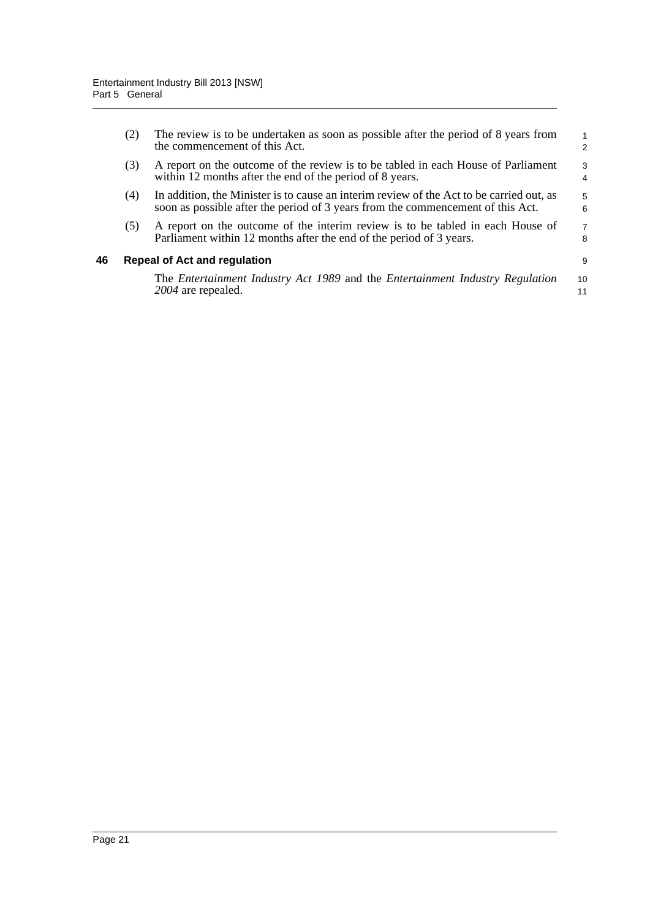<span id="page-28-0"></span>

| 46 | (5) | A report on the outcome of the interim review is to be tabled in each House of<br>Parliament within 12 months after the end of the period of 3 years.<br><b>Repeal of Act and regulation</b> | $\overline{7}$<br>8<br>9 |
|----|-----|----------------------------------------------------------------------------------------------------------------------------------------------------------------------------------------------|--------------------------|
|    | (4) | In addition, the Minister is to cause an interim review of the Act to be carried out, as<br>soon as possible after the period of 3 years from the commencement of this Act.                  | 5<br>6                   |
|    | (3) | A report on the outcome of the review is to be tabled in each House of Parliament<br>within 12 months after the end of the period of 8 years.                                                | 3<br>4                   |
|    | (2) | The review is to be undertaken as soon as possible after the period of 8 years from<br>the commencement of this Act.                                                                         | 1<br>2                   |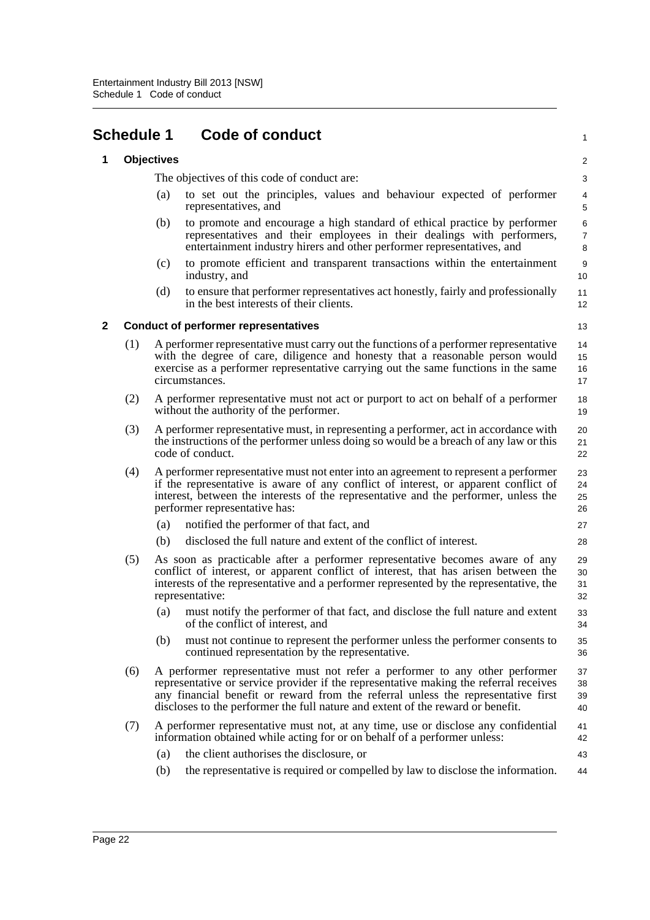<span id="page-29-0"></span>

|              | <b>Schedule 1</b> |                   | <b>Code of conduct</b>                                                                                                                                                                                                                                                                                                                        | 1                             |
|--------------|-------------------|-------------------|-----------------------------------------------------------------------------------------------------------------------------------------------------------------------------------------------------------------------------------------------------------------------------------------------------------------------------------------------|-------------------------------|
| 1            |                   | <b>Objectives</b> |                                                                                                                                                                                                                                                                                                                                               | $\overline{\mathbf{c}}$       |
|              |                   |                   | The objectives of this code of conduct are:                                                                                                                                                                                                                                                                                                   | 3                             |
|              |                   | (a)               | to set out the principles, values and behaviour expected of performer<br>representatives, and                                                                                                                                                                                                                                                 | $\overline{\mathcal{A}}$<br>5 |
|              |                   | (b)               | to promote and encourage a high standard of ethical practice by performer<br>representatives and their employees in their dealings with performers,<br>entertainment industry hirers and other performer representatives, and                                                                                                                 | 6<br>$\overline{7}$<br>8      |
|              |                   | (c)               | to promote efficient and transparent transactions within the entertainment<br>industry, and                                                                                                                                                                                                                                                   | 9<br>10                       |
|              |                   | (d)               | to ensure that performer representatives act honestly, fairly and professionally<br>in the best interests of their clients.                                                                                                                                                                                                                   | 11<br>12                      |
| $\mathbf{2}$ |                   |                   | <b>Conduct of performer representatives</b>                                                                                                                                                                                                                                                                                                   | 13                            |
|              | (1)               |                   | A performer representative must carry out the functions of a performer representative<br>with the degree of care, diligence and honesty that a reasonable person would<br>exercise as a performer representative carrying out the same functions in the same<br>circumstances.                                                                | 14<br>15<br>16<br>17          |
|              | (2)               |                   | A performer representative must not act or purport to act on behalf of a performer<br>without the authority of the performer.                                                                                                                                                                                                                 | 18<br>19                      |
|              | (3)               |                   | A performer representative must, in representing a performer, act in accordance with<br>the instructions of the performer unless doing so would be a breach of any law or this<br>code of conduct.                                                                                                                                            | 20<br>21<br>22                |
|              | (4)               |                   | A performer representative must not enter into an agreement to represent a performer<br>if the representative is aware of any conflict of interest, or apparent conflict of<br>interest, between the interests of the representative and the performer, unless the<br>performer representative has:                                           | 23<br>24<br>25<br>26          |
|              |                   | (a)               | notified the performer of that fact, and                                                                                                                                                                                                                                                                                                      | 27                            |
|              |                   | (b)               | disclosed the full nature and extent of the conflict of interest.                                                                                                                                                                                                                                                                             | 28                            |
|              | (5)               |                   | As soon as practicable after a performer representative becomes aware of any<br>conflict of interest, or apparent conflict of interest, that has arisen between the<br>interests of the representative and a performer represented by the representative, the<br>representative:                                                              | 29<br>30<br>31<br>32          |
|              |                   |                   | (a) must notify the performer of that fact, and disclose the full nature and extent<br>of the conflict of interest, and                                                                                                                                                                                                                       | 33<br>34                      |
|              |                   | (b)               | must not continue to represent the performer unless the performer consents to<br>continued representation by the representative.                                                                                                                                                                                                              | 35<br>36                      |
|              | (6)               |                   | A performer representative must not refer a performer to any other performer<br>representative or service provider if the representative making the referral receives<br>any financial benefit or reward from the referral unless the representative first<br>discloses to the performer the full nature and extent of the reward or benefit. | 37<br>38<br>39<br>40          |
|              | (7)               |                   | A performer representative must not, at any time, use or disclose any confidential<br>information obtained while acting for or on behalf of a performer unless:                                                                                                                                                                               | 41<br>42                      |
|              |                   | (a)               | the client authorises the disclosure, or                                                                                                                                                                                                                                                                                                      | 43                            |
|              |                   | (b)               | the representative is required or compelled by law to disclose the information.                                                                                                                                                                                                                                                               | 44                            |
|              |                   |                   |                                                                                                                                                                                                                                                                                                                                               |                               |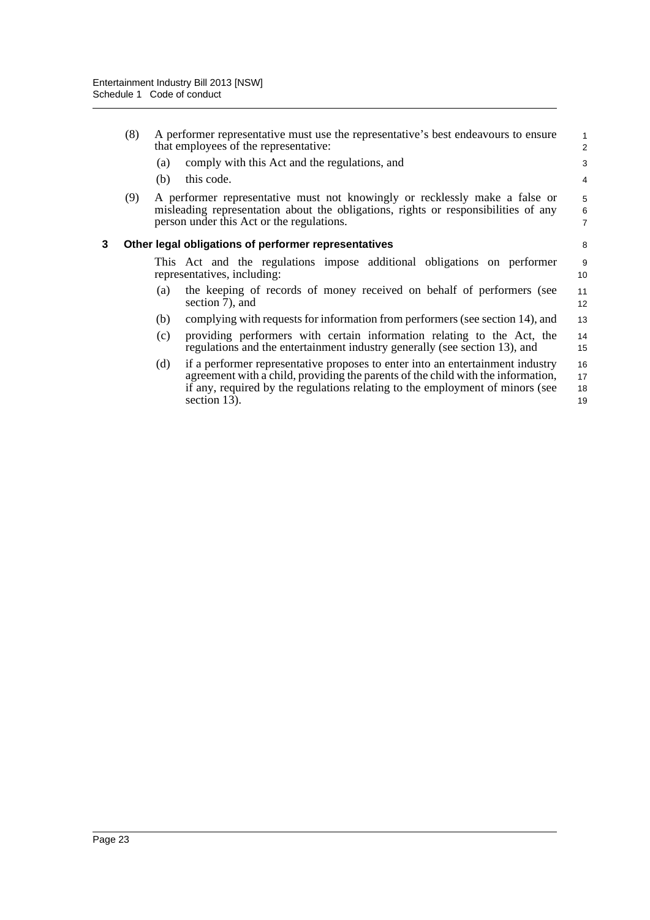|   | (8) | A performer representative must use the representative's best endeavours to ensure<br>that employees of the representative:                                                                                                                                                | $\mathbf{1}$<br>$\overline{2}$ |
|---|-----|----------------------------------------------------------------------------------------------------------------------------------------------------------------------------------------------------------------------------------------------------------------------------|--------------------------------|
|   |     | comply with this Act and the regulations, and<br>(a)                                                                                                                                                                                                                       | 3                              |
|   |     | (b)<br>this code.                                                                                                                                                                                                                                                          | 4                              |
|   | (9) | A performer representative must not knowingly or recklessly make a false or<br>misleading representation about the obligations, rights or responsibilities of any<br>person under this Act or the regulations.                                                             | 5<br>$\,6\,$<br>$\overline{7}$ |
| 3 |     | Other legal obligations of performer representatives                                                                                                                                                                                                                       | 8                              |
|   |     | This Act and the regulations impose additional obligations on performer<br>representatives, including:                                                                                                                                                                     | 9<br>10                        |
|   |     | the keeping of records of money received on behalf of performers (see<br>(a)<br>section 7), and                                                                                                                                                                            | 11<br>12                       |
|   |     | complying with requests for information from performers (see section 14), and<br>(b)                                                                                                                                                                                       | 13                             |
|   |     | providing performers with certain information relating to the Act, the<br>(c)<br>regulations and the entertainment industry generally (see section 13), and                                                                                                                | 14<br>15                       |
|   |     | if a performer representative proposes to enter into an entertainment industry<br>(d)<br>agreement with a child, providing the parents of the child with the information,<br>if any, required by the regulations relating to the employment of minors (see<br>section 13). | 16<br>17<br>18<br>19           |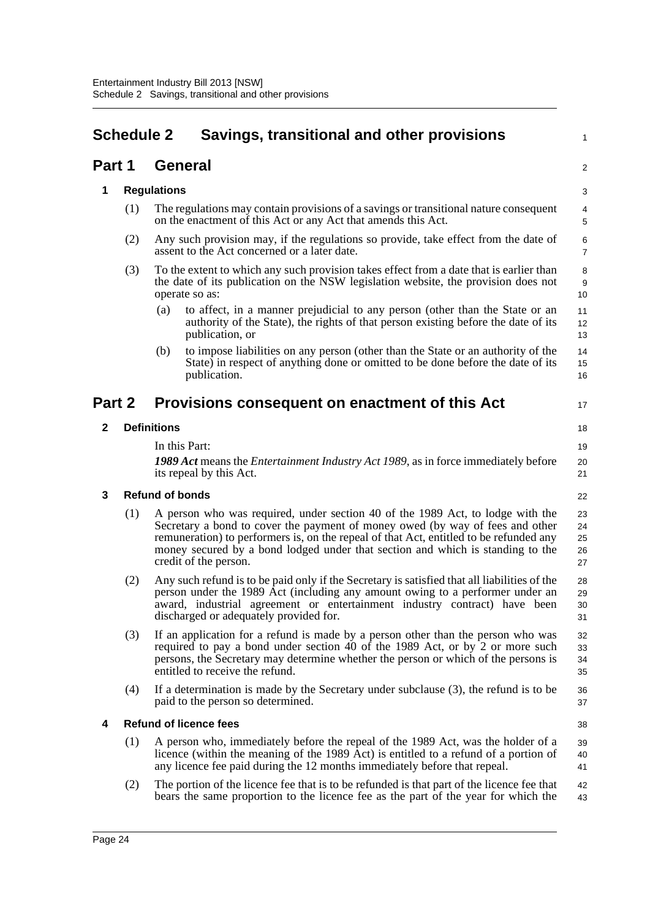## <span id="page-31-0"></span>**Schedule 2 Savings, transitional and other provisions**

## **Part 1 General**

#### **1 Regulations**

(1) The regulations may contain provisions of a savings or transitional nature consequent on the enactment of this Act or any Act that amends this Act.

1

2

17

22

36 37

- (2) Any such provision may, if the regulations so provide, take effect from the date of assent to the Act concerned or a later date.
- (3) To the extent to which any such provision takes effect from a date that is earlier than the date of its publication on the NSW legislation website, the provision does not operate so as:
	- (a) to affect, in a manner prejudicial to any person (other than the State or an authority of the State), the rights of that person existing before the date of its publication, or
	- (b) to impose liabilities on any person (other than the State or an authority of the State) in respect of anything done or omitted to be done before the date of its publication.

## **Part 2 Provisions consequent on enactment of this Act**

#### **2 Definitions**

In this Part:

*1989 Act* means the *Entertainment Industry Act 1989*, as in force immediately before its repeal by this Act.

#### **3 Refund of bonds**

- (1) A person who was required, under section 40 of the 1989 Act, to lodge with the Secretary a bond to cover the payment of money owed (by way of fees and other remuneration) to performers is, on the repeal of that Act, entitled to be refunded any money secured by a bond lodged under that section and which is standing to the credit of the person. 23 24 25 26 27
- (2) Any such refund is to be paid only if the Secretary is satisfied that all liabilities of the person under the 1989 Act (including any amount owing to a performer under an award, industrial agreement or entertainment industry contract) have been discharged or adequately provided for. 28 29 30 31
- (3) If an application for a refund is made by a person other than the person who was required to pay a bond under section 40 of the 1989 Act, or by 2 or more such persons, the Secretary may determine whether the person or which of the persons is entitled to receive the refund. 32 33 34 35
- (4) If a determination is made by the Secretary under subclause (3), the refund is to be paid to the person so determined.

#### **4 Refund of licence fees**

- (1) A person who, immediately before the repeal of the 1989 Act, was the holder of a licence (within the meaning of the 1989 Act) is entitled to a refund of a portion of any licence fee paid during the 12 months immediately before that repeal.
- (2) The portion of the licence fee that is to be refunded is that part of the licence fee that bears the same proportion to the licence fee as the part of the year for which the 42 43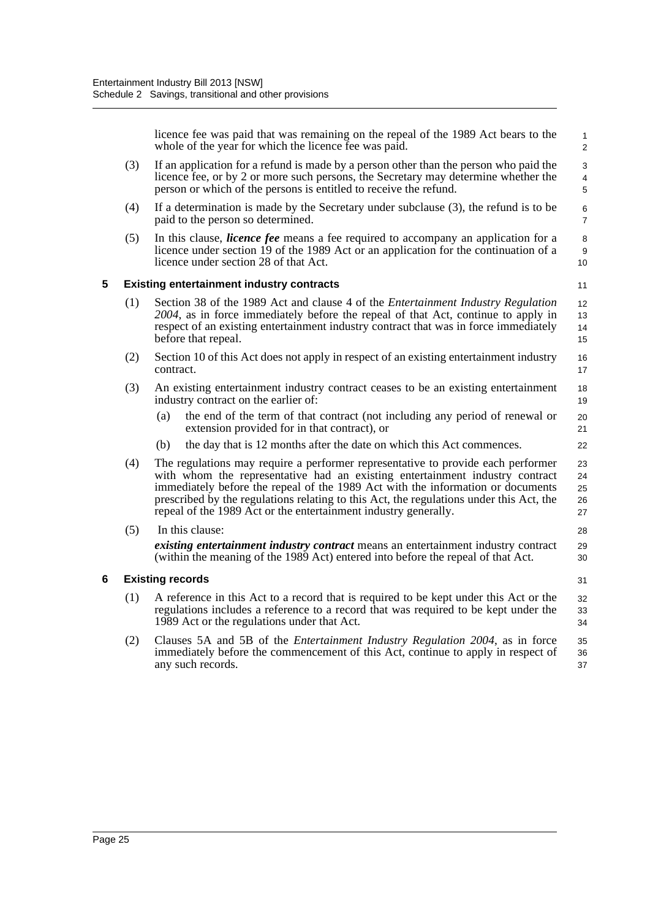licence fee was paid that was remaining on the repeal of the 1989 Act bears to the whole of the year for which the licence fee was paid.

20 21 22

31

- (3) If an application for a refund is made by a person other than the person who paid the licence fee, or by 2 or more such persons, the Secretary may determine whether the person or which of the persons is entitled to receive the refund.
- (4) If a determination is made by the Secretary under subclause (3), the refund is to be paid to the person so determined.
- (5) In this clause, *licence fee* means a fee required to accompany an application for a licence under section 19 of the 1989 Act or an application for the continuation of a licence under section 28 of that Act.

#### **5 Existing entertainment industry contracts**

- (1) Section 38 of the 1989 Act and clause 4 of the *Entertainment Industry Regulation 2004*, as in force immediately before the repeal of that Act, continue to apply in respect of an existing entertainment industry contract that was in force immediately before that repeal. 12 13 14 15
- (2) Section 10 of this Act does not apply in respect of an existing entertainment industry contract. 16 17
- (3) An existing entertainment industry contract ceases to be an existing entertainment industry contract on the earlier of: 18 19
	- (a) the end of the term of that contract (not including any period of renewal or extension provided for in that contract), or
	- (b) the day that is 12 months after the date on which this Act commences.
- (4) The regulations may require a performer representative to provide each performer with whom the representative had an existing entertainment industry contract immediately before the repeal of the 1989 Act with the information or documents prescribed by the regulations relating to this Act, the regulations under this Act, the repeal of the 1989 Act or the entertainment industry generally. 23 24 25 26 27
- (5) In this clause: *existing entertainment industry contract* means an entertainment industry contract (within the meaning of the 1989 Act) entered into before the repeal of that Act. 28 29 30

#### **6 Existing records**

- (1) A reference in this Act to a record that is required to be kept under this Act or the regulations includes a reference to a record that was required to be kept under the 1989 Act or the regulations under that Act. 32 33 34
- (2) Clauses 5A and 5B of the *Entertainment Industry Regulation 2004*, as in force immediately before the commencement of this Act, continue to apply in respect of any such records. 35 36 37